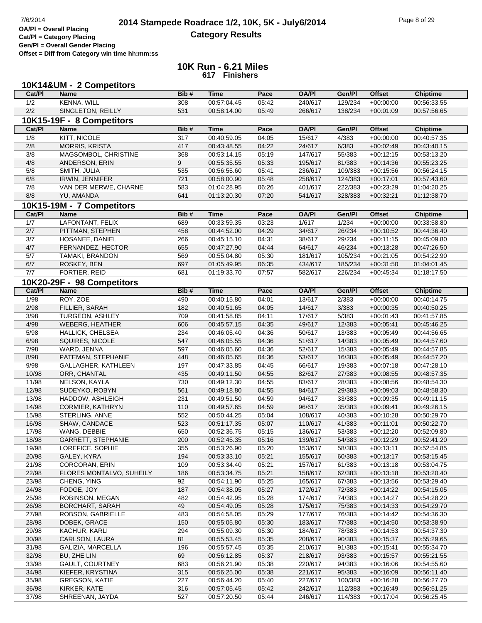**Cat/Pl = Category Placing Gen/Pl = Overall Gender Placing**

**Offset = Diff from Category win time hh:mm:ss**

|        | 10K14&UM - 2 Competitors   |      |             |       |              |         |               |                 |
|--------|----------------------------|------|-------------|-------|--------------|---------|---------------|-----------------|
| Cat/PI | <b>Name</b>                | Bib# | <b>Time</b> | Pace  | <b>OA/PI</b> | Gen/Pl  | <b>Offset</b> | Chiptime        |
| 1/2    | <b>KENNA, WILL</b>         | 308  | 00:57:04.45 | 05:42 | 240/617      | 129/234 | $+00:00:00$   | 00:56:33.55     |
| 2/2    | SINGLETON, REILLY          | 531  | 00:58:14.00 | 05:49 | 266/617      | 138/234 | $+00:01:09$   | 00:57:56.65     |
|        | 10K15-19F - 8 Competitors  |      |             |       |              |         |               |                 |
| Cat/PI | Name                       | Bib# | <b>Time</b> | Pace  | <b>OA/PI</b> | Gen/Pl  | <b>Offset</b> | Chiptime        |
| 1/8    | KITT, NICOLE               | 317  | 00:40:59.05 | 04:05 | 15/617       | 4/383   | $+00:00:00$   | 00:40:57.35     |
| 2/8    | MORRIS, KRISTA             | 417  | 00:43:48.55 | 04:22 | 24/617       | 6/383   | $+00:02:49$   | 00:43:40.15     |
| 3/8    | MAGSOMBOL, CHRISTINE       | 368  | 00:53:14.15 | 05:19 | 147/617      | 55/383  | $+00:12:15$   | 00:53:13.20     |
| 4/8    | ANDERSON, ERIN             | 9    | 00:55:35.55 | 05:33 | 195/617      | 81/383  | $+00:14:36$   | 00:55:23.25     |
| 5/8    | SMITH, JULIA               | 535  | 00:56:55.60 | 05:41 | 236/617      | 109/383 | $+00:15:56$   | 00:56:24.15     |
| $6/8$  | <b>IRWIN, JENNIFER</b>     | 721  | 00:58:00.90 | 05:48 | 258/617      | 124/383 | $+00:17:01$   | 00:57:43.60     |
| 7/8    | VAN DER MERWE, CHARNE      | 583  | 01:04:28.95 | 06:26 | 401/617      | 222/383 | $+00:23:29$   | 01:04:20.25     |
| 8/8    | YU, AMANDA                 | 641  | 01:13:20.30 | 07:20 | 541/617      | 328/383 | $+00:32:21$   | 01:12:38.70     |
|        |                            |      |             |       |              |         |               |                 |
|        | 10K15-19M - 7 Competitors  |      |             |       |              |         |               |                 |
| Cat/PI | Name                       | Bib# | <b>Time</b> | Pace  | <b>OA/PI</b> | Gen/Pl  | <b>Offset</b> | <b>Chiptime</b> |
| 1/7    | LAFONTANT, FELIX           | 689  | 00:33:59.35 | 03:23 | 1/617        | 1/234   | $+00:00:00$   | 00:33:58.80     |
| 2/7    | PITTMAN, STEPHEN           | 458  | 00:44:52.00 | 04:29 | 34/617       | 26/234  | $+00:10:52$   | 00:44:36.40     |
| 3/7    | HOSANEE, DANIEL            | 266  | 00:45:15.10 | 04:31 | 38/617       | 29/234  | $+00:11:15$   | 00:45:09.80     |
| $4/7$  | FERNANDEZ, HECTOR          | 655  | 00:47:27.90 | 04:44 | 64/617       | 46/234  | $+00:13:28$   | 00:47:26.50     |
| 5/7    | TAMAKI, BRANDON            | 569  | 00:55:04.80 | 05:30 | 181/617      | 105/234 | $+00:21:05$   | 00:54:22.90     |
| 6/7    | ROSKEY, BEN                | 697  | 01:05:49.95 | 06:35 | 434/617      | 185/234 | $+00:31:50$   | 01:04:01.45     |
| 7/7    | FORTIER, REID              | 681  | 01:19:33.70 | 07:57 | 582/617      | 226/234 | $+00:45:34$   | 01:18:17.50     |
|        | 10K20-29F - 98 Competitors |      |             |       |              |         |               |                 |
| Cat/PI | <b>Name</b>                | Bib# | <b>Time</b> | Pace  | <b>OA/PI</b> | Gen/Pl  | <b>Offset</b> | <b>Chiptime</b> |
| 1/98   | ROY, ZOE                   | 490  | 00:40:15.80 | 04:01 | 13/617       | 2/383   | $+00:00:00$   | 00:40:14.75     |
| 2/98   | FILLIER, SARAH             | 182  | 00:40:51.65 | 04:05 | 14/617       | 3/383   | $+00:00:35$   | 00:40:50.25     |
| 3/98   | TURGEON, ASHLEY            | 709  | 00:41:58.85 | 04:11 | 17/617       | 5/383   | $+00:01:43$   | 00:41:57.85     |
| 4/98   | <b>WEBERG, HEATHER</b>     | 606  | 00:45:57.15 | 04:35 | 49/617       | 12/383  | $+00:05:41$   | 00:45:46.25     |
| $5/98$ | HALLICK, CHELSEA           | 234  | 00:46:05.40 | 04:36 | 50/617       | 13/383  | $+00:05:49$   | 00:44:56.65     |
| 6/98   | SQUIRES, NICOLE            | 547  | 00:46:05.55 | 04:36 | 51/617       | 14/383  | $+00:05:49$   | 00:44:57.60     |
| 7/98   | WARD, JENNA                | 597  | 00:46:05.60 | 04:36 | 52/617       | 15/383  | $+00:05:49$   | 00:44:57.85     |
| 8/98   | PATEMAN, STEPHANIE         | 448  | 00:46:05.65 | 04:36 | 53/617       | 16/383  | $+00:05:49$   | 00:44:57.20     |
| 9/98   | GALLAGHER, KATHLEEN        | 197  | 00:47:33.85 | 04:45 | 66/617       | 19/383  | $+00:07:18$   | 00:47:28.10     |
| 10/98  | ORR, CHANTAL               | 435  | 00:49:11.50 | 04:55 | 82/617       | 27/383  | $+00:08:55$   | 00:48:57.35     |
| 11/98  | NELSON, KAYLA              | 730  | 00:49:12.30 | 04:55 | 83/617       | 28/383  | $+00:08:56$   | 00:48:54.30     |
| 12/98  | SUDEYKO, ROBYN             | 561  | 00:49:18.80 | 04:55 | 84/617       | 29/383  | $+00:09:03$   | 00:48:58.30     |
| 13/98  | HADDOW, ASHLEIGH           | 231  | 00:49:51.50 | 04:59 | 94/617       | 33/383  | $+00:09:35$   | 00:49:11.15     |
| 14/98  | CORMIER, KATHRYN           | 110  | 00:49:57.65 | 04:59 | 96/617       | 35/383  | $+00:09:41$   | 00:49:26.15     |
| 15/98  | STERLING, ANNE             | 552  | 00:50:44.25 | 05:04 | 108/617      | 40/383  | $+00:10:28$   | 00:50:29.70     |
| 16/98  | SHAW, CANDACE              | 523  | 00:51:17.35 | 05:07 | 110/617      | 41/383  | $+00:11:01$   | 00:50:22.70     |
| 17/98  | WANG, DEBBIE               | 650  | 00:52:36.75 | 05:15 | 136/617      | 53/383  | $+00:12:20$   | 00:52:09.80     |
| 18/98  | <b>GARRETT, STEPHANIE</b>  | 200  | 00:52:45.35 | 05:16 | 139/617      | 54/383  | $+00:12:29$   | 00:52:41.20     |
| 19/98  | LOREFICE, SOPHIE           | 355  | 00:53:26.90 | 05:20 | 153/617      | 58/383  | $+00:13:11$   | 00:52:54.85     |
| 20/98  | GALEY, KYRA                | 194  | 00:53:33.10 | 05:21 | 155/617      | 60/383  | $+00:13:17$   | 00:53:15.45     |
| 21/98  | <b>CORCORAN, ERIN</b>      | 109  | 00:53:34.40 | 05:21 | 157/617      | 61/383  | $+00:13:18$   | 00:53:04.75     |
| 22/98  | FLORES MONTALVO, SUHEILY   | 186  | 00:53:34.75 | 05:21 | 158/617      | 62/383  | $+00:13:18$   | 00:53:20.40     |
| 23/98  | CHENG, YING                | 92   | 00:54:11.90 | 05:25 | 165/617      | 67/383  | $+00:13:56$   | 00:53:29.40     |
| 24/98  | FODGE, JOY                 | 187  | 00:54:38.05 | 05:27 | 172/617      | 72/383  | $+00:14:22$   | 00:54:15.05     |
| 25/98  | ROBINSON, MEGAN            | 482  | 00:54:42.95 | 05:28 | 174/617      | 74/383  | $+00:14:27$   | 00:54:28.20     |
| 26/98  | <b>BORCHART, SARAH</b>     | 49   | 00:54:49.05 | 05:28 | 175/617      | 75/383  | $+00:14:33$   | 00:54:29.70     |
| 27/98  | ROBSON, GABRIELLE          | 483  | 00:54:58.05 | 05:29 | 177/617      | 76/383  | $+00:14:42$   | 00:54:36.30     |
| 28/98  | DOBEK, GRACE               | 150  | 00:55:05.80 | 05:30 | 183/617      | 77/383  | $+00:14:50$   | 00:53:38.90     |
| 29/98  | KACHUR, KARLI              | 294  | 00:55:09.30 | 05:30 | 184/617      | 78/383  | $+00:14:53$   | 00:54:37.30     |
| 30/98  | CARLSON, LAURA             | 81   | 00:55:53.45 | 05:35 | 208/617      | 90/383  | $+00:15:37$   | 00:55:29.65     |
| 31/98  | GALIZIA, MARCELLA          | 196  | 00:55:57.45 | 05:35 | 210/617      | 91/383  | $+00:15:41$   | 00:55:34.70     |
| 32/98  | BU, ZHE LIN                | 69   | 00:56:12.85 | 05:37 | 218/617      | 93/383  | $+00:15:57$   | 00:55:21.55     |
| 33/98  | <b>GAULT, COURTNEY</b>     | 683  | 00:56:21.90 | 05:38 | 220/617      | 94/383  | $+00:16:06$   | 00:54:55.60     |
| 34/98  | KIEFER, KRYSTINA           | 315  | 00:56:25.00 | 05:38 | 221/617      | 95/383  | $+00:16:09$   | 00:56:11.40     |
| 35/98  | <b>GREGSON, KATIE</b>      | 227  | 00:56:44.20 | 05:40 | 227/617      | 100/383 | $+00:16:28$   | 00:56:27.70     |
| 36/98  | KIRKER, KATE               | 316  | 00:57:05.45 | 05:42 | 242/617      | 112/383 | $+00:16:49$   | 00:56:51.25     |
| 37/98  | SHREENAN, JAYDA            | 527  | 00:57:20.50 | 05:44 | 246/617      | 114/383 | $+00:17:04$   | 00:56:25.45     |
|        |                            |      |             |       |              |         |               |                 |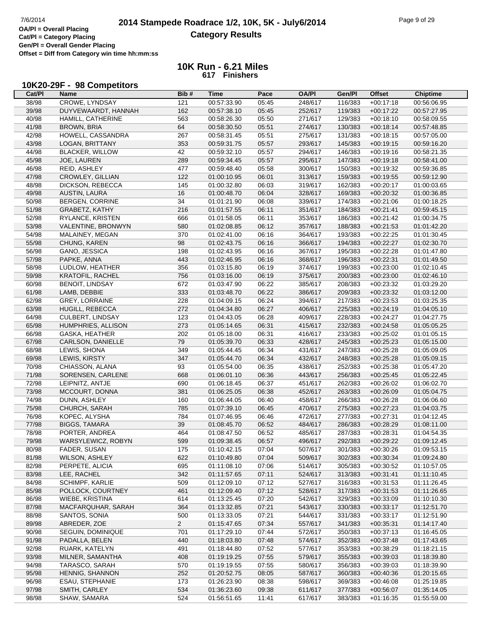#### **10K Run - 6.21 Miles 617 Finishers**

## **10K20-29F - 98 Competitors**

| Cat/PI         | Name                    | Bib#           | <b>Time</b> | Pace  | <b>OA/PI</b> | Gen/Pl  | <b>Offset</b> | <b>Chiptime</b>            |
|----------------|-------------------------|----------------|-------------|-------|--------------|---------|---------------|----------------------------|
| 38/98          | CROWE, LYNDSAY          | 121            | 00:57:33.90 | 05:45 | 248/617      | 116/383 | $+00:17:18$   | 00:56:06.95                |
| 39/98          | DUYVEWAARDT, HANNAH     | 162            | 00:57:38.10 | 05:45 | 252/617      | 119/383 | $+00:17:22$   | 00:57:27.95                |
| 40/98          | HAMILL, CATHERINE       | 563            | 00:58:26.30 | 05:50 | 271/617      | 129/383 | $+00:18:10$   | 00:58:09.55                |
| 41/98          | <b>BROWN, BRIA</b>      | 64             | 00:58:30.50 | 05:51 | 274/617      | 130/383 | $+00:18:14$   | 00:57:48.85                |
| 42/98          | HOWELL, CASSANDRA       | 267            | 00:58:31.45 | 05:51 | 275/617      | 131/383 | $+00:18:15$   | 00:57:05.00                |
| 43/98          | LOGAN, BRITTANY         | 353            | 00:59:31.75 | 05:57 | 293/617      | 145/383 | $+00:19:15$   | 00:59:16.20                |
| 44/98          | <b>BLACKER, WILLOW</b>  | 42             | 00:59:32.10 | 05:57 | 294/617      | 146/383 | $+00:19:16$   | 00:58:21.35                |
| 45/98          | JOE, LAUREN             | 289            | 00:59:34.45 | 05:57 | 295/617      | 147/383 | $+00:19:18$   | 00:58:41.00                |
| 46/98          | REID, ASHLEY            | 477            | 00:59:48.40 | 05:58 | 300/617      | 150/383 | $+00:19:32$   | 00:59:36.85                |
| 47/98          | CROWLEY, GILLIAN        | 122            | 01:00:10.95 | 06:01 | 313/617      | 159/383 | $+00:19:55$   | 00:59:12.90                |
| 48/98          | DICKSON, REBECCA        | 145            | 01:00:32.80 | 06:03 | 319/617      | 162/383 | $+00:20:17$   | 01:00:03.65                |
| 49/98          | AUSTIN, LAURA           | 16             | 01:00:48.70 | 06:04 | 328/617      | 169/383 | $+00:20:32$   | 01:00:36.85                |
| 50/98          | <b>BERGEN, CORRINE</b>  | 34             | 01:01:21.90 | 06:08 | 339/617      | 174/383 | $+00:21:06$   | 01:00:18.25                |
| 51/98          | GRABETZ, KATHY          | 216            | 01:01:57.55 | 06:11 | 351/617      | 184/383 | $+00:21:41$   | 00:59:45.15                |
| 52/98          | RYLANCE, KRISTEN        | 666            | 01:01:58.05 | 06:11 | 353/617      | 186/383 | $+00:21:42$   | 01:00:34.75                |
| 53/98          | VALENTINE, BRONWYN      | 580            | 01:02:08.85 | 06:12 | 357/617      | 188/383 | $+00:21:53$   | 01:01:42.20                |
| 54/98          | MALAINEY, MEGAN         | 370            | 01:02:41.00 | 06:16 | 364/617      | 193/383 | $+00:22:25$   | 01:01:30.45                |
| 55/98          | CHUNG, KAREN            | 98             | 01:02:43.75 | 06:16 | 366/617      | 194/383 | $+00:22:27$   | 01:02:30.70                |
| 56/98          | GANO, JESSICA           | 198            | 01:02:43.95 | 06:16 | 367/617      | 195/383 | $+00:22:28$   | 01:01:47.80                |
| 57/98          | PAPKE, ANNA             | 443            | 01:02:46.95 | 06:16 | 368/617      | 196/383 | $+00:22:31$   | 01:01:49.50                |
| 58/98          | LUDLOW, HEATHER         | 356            | 01:03:15.80 | 06:19 | 374/617      | 199/383 | $+00:23:00$   | 01:02:10.45                |
| 59/98          | <b>KRATOFIL, RACHEL</b> | 756            | 01:03:16.00 | 06:19 | 375/617      | 200/383 | $+00:23:00$   | 01:02:46.10                |
|                |                         |                | 01:03:47.90 |       |              |         |               |                            |
| 60/98<br>61/98 | <b>BENOIT, LINDSAY</b>  | 672            | 01:03:48.70 | 06:22 | 385/617      | 208/383 | $+00:23:32$   | 01:03:29.20<br>01:03:12.00 |
|                | LAMB, DEBBIE            | 333            |             | 06:22 | 386/617      | 209/383 | $+00:23:32$   | 01:03:25.35                |
| 62/98          | <b>GREY, LORRAINE</b>   | 228            | 01:04:09.15 | 06:24 | 394/617      | 217/383 | $+00:23:53$   |                            |
| 63/98          | HUGILL, REBECCA         | 272            | 01:04:34.80 | 06:27 | 406/617      | 225/383 | $+00:24:19$   | 01:04:05.10<br>01:04:27.75 |
| 64/98          | CULBERT, LINDSAY        | 123            | 01:04:43.05 | 06:28 | 409/617      | 228/383 | $+00:24:27$   |                            |
| 65/98          | HUMPHRIES, ALLISON      | 273            | 01:05:14.65 | 06:31 | 415/617      | 232/383 | $+00:24:58$   | 01:05:05.25                |
| 66/98          | GASKA, HEATHER          | 202            | 01:05:18.00 | 06:31 | 416/617      | 233/383 | $+00:25:02$   | 01:01:05.15                |
| 67/98          | CARLSON, DANIELLE       | 79             | 01:05:39.70 | 06:33 | 428/617      | 245/383 | $+00:25:23$   | 01:05:15.00                |
| 68/98          | LEWIS, SHONA            | 349            | 01:05:44.45 | 06:34 | 431/617      | 247/383 | $+00:25:28$   | 01:05:09.05                |
| 69/98          | LEWIS, KIRSTY           | 347            | 01:05:44.70 | 06:34 | 432/617      | 248/383 | $+00:25:28$   | 01:05:09.15                |
| 70/98          | CHIASSON, ALANA         | 93             | 01:05:54.00 | 06:35 | 438/617      | 252/383 | $+00:25:38$   | 01:05:47.20                |
| 71/98          | SORENSEN, CARLENE       | 668            | 01:06:01.10 | 06:36 | 443/617      | 256/383 | $+00:25:45$   | 01:05:22.45                |
| 72/98          | LEIPNITZ, ANTJE         | 690            | 01:06:18.45 | 06:37 | 451/617      | 262/383 | $+00:26:02$   | 01:06:02.70                |
| 73/98          | MCCOURT, DONNA          | 381            | 01:06:25.05 | 06:38 | 452/617      | 263/383 | $+00:26:09$   | 01:05:04.75                |
| 74/98          | DUNN, ASHLEY            | 160            | 01:06:44.05 | 06:40 | 458/617      | 266/383 | $+00:26:28$   | 01:06:06.60                |
| 75/98          | CHURCH, SARAH           | 785            | 01:07:39.10 | 06:45 | 470/617      | 275/383 | $+00:27:23$   | 01:04:03.75                |
| 76/98          | KOPEC, ALYSHA           | 784            | 01:07:46.95 | 06:46 | 472/617      | 277/383 | $+00:27:31$   | 01:04:12.45                |
| 77/98          | <b>BIGGS, TAMARA</b>    | 39             | 01:08:45.70 | 06:52 | 484/617      | 286/383 | $+00:28:29$   | 01:08:11.00                |
| 78/98          | PORTER, ANDREA          | 464            | 01:08:47.50 | 06:52 | 485/617      | 287/383 | $+00:28:31$   | 01:04:54.35                |
| 79/98          | WARSYLEWICZ, ROBYN      | 599            | 01:09:38.45 | 06:57 | 496/617      | 292/383 | $+00:29:22$   | 01:09:12.45                |
| 80/98          | FADER, SUSAN            | 175            | 01:10:42.15 | 07:04 | 507/617      | 301/383 | $+00:30:26$   | 01:09:53.15                |
| 81/98          | <b>WILSON, ASHLEY</b>   | 622            | 01:10:49.80 | 07:04 | 509/617      | 302/383 | $+00:30:34$   | 01:09:24.80                |
| 82/98          | PERPETE, ALICIA         | 695            | 01:11:08.10 | 07:06 | 514/617      | 305/383 | $+00:30:52$   | 01:10:57.05                |
| 83/98          | LEE, RACHEL             | 342            | 01:11:57.65 | 07:11 | 524/617      | 313/383 | $+00:31:41$   | 01:11:10.45                |
| 84/98          | <b>SCHIMPF, KARLIE</b>  | 509            | 01:12:09.10 | 07:12 | 527/617      | 316/383 | $+00:31:53$   | 01:11:26.45                |
| 85/98          | POLLOCK, COURTNEY       | 461            | 01:12:09.40 | 07:12 | 528/617      | 317/383 | $+00:31:53$   | 01:11:26.65                |
| 86/98          | WIEBE, KRISTINA         | 614            | 01:13:25.45 | 07:20 | 542/617      | 329/383 | $+00:33:09$   | 01:10:10.30                |
| 87/98          | MACFARQUHAR, SARAH      | 364            | 01:13:32.85 | 07:21 | 543/617      | 330/383 | $+00:33:17$   | 01:12:51.70                |
| 88/98          | SANTOS, SONIA           | 500            | 01:13:33.05 | 07:21 | 544/617      | 331/383 | $+00:33:17$   | 01:12:51.90                |
| 89/98          | ABREDER, ZOE            | $\overline{2}$ | 01:15:47.65 | 07:34 | 557/617      | 341/383 | $+00:35:31$   | 01:14:17.40                |
| 90/98          | SEGUIN, DOMINIQUE       | 701            | 01:17:29.10 | 07:44 | 572/617      | 350/383 | $+00:37:13$   | 01:16:45.05                |
| 91/98          | PADALLA, BELEN          | 440            | 01:18:03.80 | 07:48 | 574/617      | 352/383 | $+00:37:48$   | 01:17:43.65                |
| 92/98          | RUARK, KATELYN          | 491            | 01:18:44.80 | 07:52 | 577/617      | 353/383 | $+00:38:29$   | 01:18:21.15                |
| 93/98          | MILNER, SAMANTHA        | 408            | 01:19:19.25 | 07:55 | 579/617      | 355/383 | $+00:39:03$   | 01:18:39.80                |
| 94/98          | TARASCO, SARAH          | 570            | 01:19:19.55 | 07:55 | 580/617      | 356/383 | $+00:39:03$   | 01:18:39.90                |
| 95/98          | HENNIG, SHANNON         | 252            | 01:20:52.75 | 08:05 | 587/617      | 360/383 | $+00:40:36$   | 01:20:15.65                |
| 96/98          | ESAU, STEPHANIE         | 173            | 01:26:23.90 | 08:38 | 598/617      | 369/383 | $+00:46:08$   | 01:25:19.85                |
| 97/98          | SMITH, CARLEY           | 534            | 01:36:23.60 | 09:38 | 611/617      | 377/383 | $+00:56:07$   | 01:35:14.05                |
| 98/98          | SHAW, SAMARA            | 524            | 01:56:51.65 | 11:41 | 617/617      | 383/383 | $+01:16:35$   | 01:55:59.00                |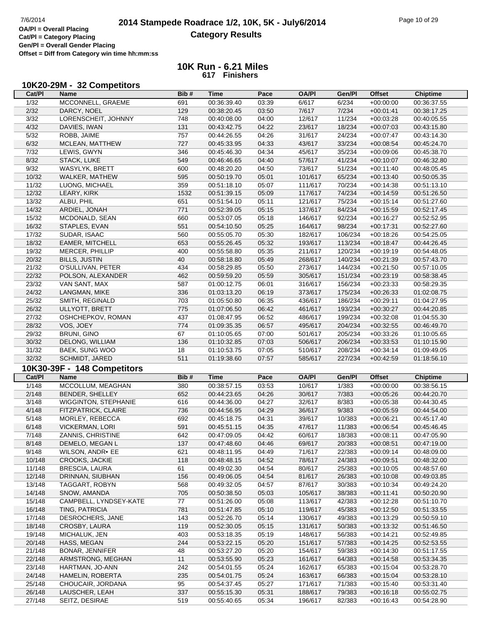# **2014 Stampede Roadrace 1/2, 10K, 5K - July6/2014** Page 10 of 29 Page 10 of 29 Page 10 of 29 **Category Results**

**Cat/Pl = Category Placing Gen/Pl = Overall Gender Placing Offset = Diff from Category win time hh:mm:ss**

| Cat/PI            | 10K20-29M - 32 Competitors<br><b>Name</b> | Bib#       | <b>Time</b>                | Pace           | <b>OA/PI</b>       | Gen/Pl           | <b>Offset</b>              | <b>Chiptime</b>            |
|-------------------|-------------------------------------------|------------|----------------------------|----------------|--------------------|------------------|----------------------------|----------------------------|
| $\frac{1}{32}$    | MCCONNELL, GRAEME                         | 691        | 00:36:39.40                | 03:39          | 6/617              | 6/234            | $+00:00:00$                | 00:36:37.55                |
| 2/32              | DARCY, NOEL                               | 129        | 00:38:20.45                | 03:50          | 7/617              | 7/234            | $+00:01:41$                | 00:38:17.25                |
| 3/32              | LORENSCHEIT, JOHNNY                       | 748        | 00:40:08.00                | 04:00          | 12/617             | 11/234           | $+00:03:28$                | 00:40:05.55                |
| 4/32              | DAVIES, IWAN                              | 131        | 00:43:42.75                | 04:22          | 23/617             | 18/234           | $+00:07:03$                | 00:43:15.80                |
| $\overline{5/32}$ | ROBB, JAIME                               | 757        | 00:44:26.55                | 04:26          | 31/617             | 24/234           | $+00:07:47$                | 00:43:14.30                |
| 6/32              | MCLEAN, MATTHEW                           | 727        | 00:45:33.95                | 04:33          | 43/617             | 33/234           | $+00:08:54$                | 00:45:24.70                |
| $7/32$            | LEWIS, GWYN                               | 346        | 00:45:46.30                | 04:34          | 45/617             | 35/234           | $+00:09:06$                | 00:45:38.70                |
| 8/32              | STACK, LUKE                               | 549        | 00:46:46.65                | 04:40          | 57/617             | 41/234           | $+00:10:07$                | 00:46:32.80                |
| 9/32              |                                           |            |                            |                |                    | 51/234           |                            |                            |
|                   | <b>WASYLYK, BRETT</b>                     | 600        | 00:48:20.20                | 04:50          | 73/617             |                  | $+00:11:40$                | 00:48:05.45                |
| 10/32             | WALKER, MATHEW                            | 595        | 00:50:19.70                | 05:01          | 101/617            | 65/234           | $+00:13:40$                | 00:50:05.35                |
| 11/32             | LUONG, MICHAEL                            | 359        | 00:51:18.10                | 05:07          | 111/617            | 70/234           | $+00:14:38$                | 00:51:13.10                |
| 12/32             | LEARY, KIRK                               | 1532       | 00:51:39.15                | 05:09          | 117/617            | 74/234           | $+00:14:59$                | 00:51:26.50                |
| 13/32             | ALBU, PHIL                                | 651        | 00:51:54.10                | 05:11          | 121/617            | 75/234           | $+00:15:14$                | 00:51:27.60                |
| 14/32             | ARDIEL, JONAH                             | 771        | 00:52:39.05                | 05:15          | 137/617            | 84/234           | $+00:15:59$                | 00:52:17.45                |
| 15/32             | MCDONALD, SEAN                            | 660        | 00:53:07.05                | 05:18          | 146/617            | 92/234           | $+00:16:27$                | 00:52:52.95                |
| 16/32             | STAPLES, EVAN                             | 551        | 00:54:10.50                | 05:25          | 164/617            | 98/234           | $+00:17:31$                | 00:52:27.60                |
| 17/32             | SUDAR, ISAAC                              | 560        | 00:55:05.70                | 05:30          | 182/617            | 106/234          | $+00:18:26$                | 00:54:25.05                |
| 18/32             | <b>EAMER, MITCHELL</b>                    | 653        | 00:55:26.45                | 05:32          | 193/617            | 113/234          | $+00:18:47$                | 00:44:26.45                |
| 19/32             | MERCER, PHILLIP                           | 400        | 00:55:58.80                | 05:35          | 211/617            | 120/234          | $+00:19:19$                | 00:54:48.05                |
| 20/32             | <b>BILLS, JUSTIN</b>                      | 40         | 00:58:18.80                | 05:49          | 268/617            | 140/234          | $+00:21:39$                | 00:57:43.70                |
| 21/32             | O'SULLIVAN, PETER                         | 434        | 00:58:29.85                | 05:50          | 273/617            | 144/234          | $+00:21:50$                | 00:57:10.05                |
| 22/32             | POLSON, ALEXANDER                         | 462        | 00:59:59.20                | 05:59          | 305/617            | 151/234          | $+00:23:19$                | 00:58:38.45                |
| 23/32             | VAN SANT, MAX                             | 587        | 01:00:12.75                | 06:01          | 316/617            | 156/234          | $+00:23:33$                | 00:58:29.35                |
| 24/32             | LANGMAN, MIKE                             | 336        | 01:03:13.20                | 06:19          | 373/617            | 175/234          | $+00:26:33$                | 01:02:08.75                |
| 25/32             | SMITH, REGINALD                           | 703        | 01:05:50.80                | 06:35          | 436/617            | 186/234          | $+00:29:11$                | 01:04:27.95                |
| 26/32             | ULLYOTT, BRETT                            | 775        | 01:07:06.50                | 06:42          | 461/617            | 193/234          | $+00:30:27$                | 00:44:20.85                |
| 27/32             | OSHCHEPKOV, ROMAN                         | 437        | 01:08:47.95                | 06:52          | 486/617            | 199/234          | $+00:32:08$                | 01:04:55.30                |
| 28/32             | VOS, JOEY                                 | 774        | 01:09:35.35                | 06:57          | 495/617            | 204/234          | $+00:32:55$                | 00:46:49.70                |
| 29/32             | <b>BRUNI, GINO</b>                        | 67         | 01:10:05.65                | 07:00          | 501/617            | 205/234          | $+00:33:26$                | 01:10:05.65                |
| 30/32             | DELONG, WILLIAM                           | 136        | 01:10:32.85                | 07:03          | 506/617            | 206/234          | $+00:33:53$                | 01:10:15.90                |
| 31/32             | BAEK, SUNG WOO                            | 18         | 01:10:53.75                | 07:05          | 510/617            | 208/234          | $+00:34:14$                | 01:09:49.05                |
| 32/32             | SCHMIDT, JARED                            | 511        | 01:19:38.60                | 07:57          | 585/617            | 227/234          | $+00:42:59$                | 01:18:56.10                |
|                   |                                           |            |                            |                |                    |                  |                            |                            |
|                   | 10K30-39F - 148 Competitors               |            |                            |                |                    |                  |                            |                            |
| Cat/PI            | <b>Name</b>                               | Bib#       | <b>Time</b>                | Pace           | <b>OA/PI</b>       | Gen/Pl           | <b>Offset</b>              | <b>Chiptime</b>            |
| 1/148             | MCCOLLUM, MEAGHAN                         | 380        | 00:38:57.15                | 03:53          | 10/617             | 1/383            | $+00:00:00$                | 00:38:56.15                |
| 2/148             | BENDER, SHELLEY                           | 652        | 00:44:23.65                | 04:26          | 30/617             | 7/383            | $+00:05:26$                | 00:44:20.70                |
| 3/148             | <b>WIGGINTON, STEPHANIE</b>               | 616        | 00:44:36.00                | 04:27          | 32/617             | 8/383            | $+00:05:38$                | 00:44:30.45                |
| 4/148             | FITZPATRICK, CLAIRE                       | 736        | 00:44:56.95                | 04:29          | 36/617             | 9/383            | $+00:05:59$                | 00:44:54.00                |
| 5/148             | MORLEY, REBECCA                           | 692        | 00:45:18.75                | 04:31          | 39/617             | 10/383           | $+00:06:21$                | 00:45:17.40                |
| 6/148             | <b>VICKERMAN, LORI</b>                    | 591        | 00:45:51.15                | 04:35          |                    | 11/383           | $+00:06:54$                | 00:45:46.45                |
| 7/148             |                                           |            |                            |                | 47/617             |                  |                            |                            |
|                   | ZANNIS, CHRISTINE                         | 642        | 00:47:09.05                | 04:42          | 60/617             | 18/383           | $+00:08:11$                | 00:47:05.90                |
| 8/148             | DEMELO, MEGAN L                           | 137        | 00:47:48.60                | 04:46          | 69/617             | 20/383           | $+00:08:51$                | 00:47:19.00                |
| 9/148             | WILSON, ANDR• EE                          | 621        | 00:48:11.95                | 04:49          | 71/617             | 22/383           | $+00:09:14$                | 00:48:09.00                |
| 10/148            | <b>CROOKS, JACKIE</b>                     | 118        | 00:48:48.15                | 04:52          | 78/617             | 24/383           | $+00:09:51$                | 00:48:32.00                |
| 11/148            | <b>BRESCIA, LAURA</b>                     | 61         | 00:49:02.30                | 04:54          | 80/617             | 25/383           | $+00:10:05$                | 00:48:57.60                |
|                   |                                           | 156        | 00:49:06.05                | 04:54          |                    |                  |                            | 00:49:03.85                |
| 12/148            | DRINNAN, SIUBHAN<br>TAGGART, ROBYN        | 568        | 00:49:32.05                | 04:57          | 81/617             | 26/383           | $+00:10:08$<br>$+00:10:34$ | 00:49:24.20                |
| 13/148            |                                           |            |                            |                | 87/617             | 30/383           |                            |                            |
| 14/148            | SNOW, AMANDA                              | 705        | 00:50:38.50<br>00:51:26.00 | 05:03          | 105/617            | 38/383           | $+00:11:41$                | 00:50:20.90                |
| 15/148            | CAMPBELL, LYNDSEY-KATE                    | 77         |                            | 05:08          | 113/617            | 42/383           | $+00:12:28$                | 00:51:10.70                |
| 16/148            | TING, PATRICIA                            | 781        | 00:51:47.85                | 05:10          | 119/617            | 45/383           | $+00:12:50$                | 00:51:33.55                |
| 17/148            | DESROCHERS, JANE                          | 143        | 00:52:26.70                | 05:14          | 130/617            | 49/383           | $+00:13:29$                | 00:50:59.10                |
| 18/148            | CROSBY, LAURA                             | 119        | 00:52:30.05                | 05:15          | 131/617            | 50/383           | $+00:13:32$                | 00:51:46.50                |
| 19/148            | MICHALUK, JEN                             | 403        | 00:53:18.35                | 05:19          | 148/617            | 56/383           | $+00:14:21$                | 00:52:49.85                |
| 20/148            | HASS, MEGAN                               | 244        | 00:53:22.15                | 05:20          | 151/617            | 57/383           | $+00:14:25$                | 00:52:53.55                |
| 21/148            | <b>BONAR, JENNIFER</b>                    | 48         | 00:53:27.20                | 05:20          | 154/617            | 59/383           | $+00:14:30$                | 00:51:17.55                |
| 22/148            | ARMSTRONG, MEGHAN                         | 11         | 00:53:55.90                | 05:23          | 161/617            | 64/383           | $+00:14:58$                | 00:53:34.35                |
| 23/148            | HARTMAN, JO-ANN                           | 242        | 00:54:01.55                | 05:24          | 162/617            | 65/383           | $+00:15:04$                | 00:53:28.70                |
| 24/148            | HAMELIN, ROBERTA                          | 235        | 00:54:01.75                | 05:24          | 163/617            | 66/383           | $+00:15:04$                | 00:53:28.10                |
| 25/148            | CHOUCAIR, JORDANA                         | 95         | 00:54:37.45                | 05:27          | 171/617            | 71/383           | $+00:15:40$                | 00:53:31.40                |
| 26/148<br>27/148  | LAUSCHER, LEAH<br>SEITZ, DESIRAE          | 337<br>519 | 00:55:15.30<br>00:55:40.65 | 05:31<br>05:34 | 188/617<br>196/617 | 79/383<br>82/383 | $+00:16:18$<br>$+00:16:43$ | 00:55:02.75<br>00:54:28.90 |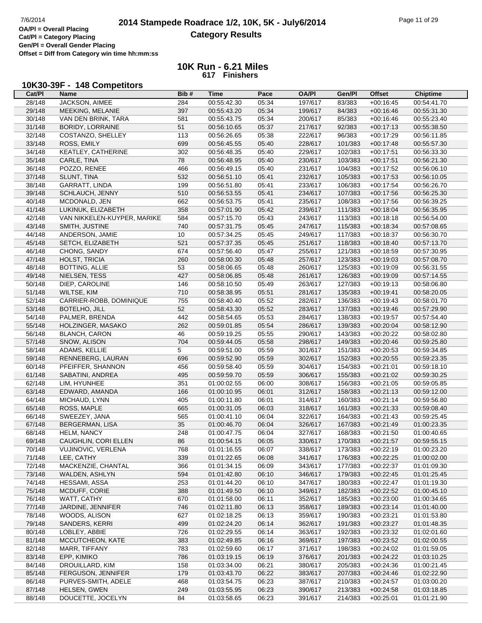# **2014 Stampede Roadrace 1/2, 10K, 5K - July6/2014** Page 11 of 29 Page 11 of 29 **Category Results**

**Cat/Pl = Category Placing Gen/Pl = Overall Gender Placing Offset = Diff from Category win time hh:mm:ss**

> **10K Run - 6.21 Miles 617 Finishers**

## **10K30-39F - 148 Competitors**

| Cat/PI | Name                        | Bib#           | Time        | Pace  | <b>OA/PI</b> | Gen/Pl  | <b>Offset</b> | <b>Chiptime</b> |
|--------|-----------------------------|----------------|-------------|-------|--------------|---------|---------------|-----------------|
| 28/148 | JACKSON, AIMEE              | 284            | 00:55:42.30 | 05:34 | 197/617      | 83/383  | $+00:16:45$   | 00:54:41.70     |
| 29/148 | MEEKING, MELANIE            | 397            | 00:55:43.20 | 05:34 | 199/617      | 84/383  | $+00:16:46$   | 00:55:31.30     |
| 30/148 | VAN DEN BRINK, TARA         | 581            | 00:55:43.75 | 05:34 | 200/617      | 85/383  | $+00:16:46$   | 00:55:23.40     |
| 31/148 | <b>BORIDY, LORRAINE</b>     | 51             | 00:56:10.65 | 05:37 | 217/617      | 92/383  | $+00:17:13$   | 00:55:38.50     |
| 32/148 | COSTANZO, SHELLEY           | 113            | 00:56:26.65 | 05:38 | 222/617      | 96/383  | $+00:17:29$   | 00:56:11.85     |
| 33/148 | ROSS, EMILY                 | 699            | 00:56:45.55 | 05:40 | 228/617      | 101/383 | $+00:17:48$   | 00:55:57.30     |
| 34/148 | KEATLEY, CATHERINE          | 302            | 00:56:48.35 | 05:40 | 229/617      | 102/383 | $+00:17:51$   | 00:56:33.30     |
| 35/148 | CARLE, TINA                 | 78             | 00:56:48.95 | 05:40 | 230/617      | 103/383 | $+00:17:51$   | 00:56:21.30     |
| 36/148 | POZZO, RENEE                | 466            | 00:56:49.15 | 05:40 | 231/617      | 104/383 | $+00:17:52$   | 00:56:06.10     |
| 37/148 | SLUNT, TINA                 | 532            | 00:56:51.10 | 05:41 | 232/617      | 105/383 | $+00:17:53$   | 00:56:10.05     |
| 38/148 | GARRATT, LINDA              | 199            | 00:56:51.80 | 05:41 | 233/617      | 106/383 | $+00:17:54$   | 00:56:26.70     |
|        | SCHLAUCH, JENNY             |                |             |       |              |         |               |                 |
| 39/148 |                             | 510            | 00:56:53.55 | 05:41 | 234/617      | 107/383 | $+00:17:56$   | 00:56:25.30     |
| 40/148 | MCDONALD, JEN               | 662            | 00:56:53.75 | 05:41 | 235/617      | 108/383 | $+00:17:56$   | 00:56:39.25     |
| 41/148 | LUKINUK, ELIZABETH          | 358            | 00:57:01.90 | 05:42 | 239/617      | 111/383 | $+00:18:04$   | 00:56:35.95     |
| 42/148 | VAN NIKKELEN-KUYPER, MARIKE | 584            | 00:57:15.70 | 05:43 | 243/617      | 113/383 | $+00:18:18$   | 00:56:54.00     |
| 43/148 | SMITH, JUSTINE              | 740            | 00:57:31.75 | 05:45 | 247/617      | 115/383 | $+00:18:34$   | 00:57:08.65     |
| 44/148 | ANDERSON, JAMIE             | 10             | 00:57:34.25 | 05:45 | 249/617      | 117/383 | $+00:18:37$   | 00:56:30.70     |
| 45/148 | SETCH, ELIZABETH            | 521            | 00:57:37.35 | 05:45 | 251/617      | 118/383 | $+00:18:40$   | 00:57:13.70     |
| 46/148 | CHONG, SANDY                | 674            | 00:57:56.40 | 05:47 | 255/617      | 121/383 | $+00:18:59$   | 00:57:30.95     |
| 47/148 | HOLST, TRICIA               | 260            | 00:58:00.30 | 05:48 | 257/617      | 123/383 | $+00:19:03$   | 00:57:08.70     |
| 48/148 | <b>BOTTING, ALLIE</b>       | 53             | 00:58:06.65 | 05:48 | 260/617      | 125/383 | $+00:19:09$   | 00:56:31.55     |
| 49/148 | NIELSEN, TESS               | 427            | 00:58:06.85 | 05:48 | 261/617      | 126/383 | $+00:19:09$   | 00:57:14.55     |
| 50/148 | DIEP, CAROLINE              | 146            | 00:58:10.50 | 05:49 | 263/617      | 127/383 | $+00:19:13$   | 00:58:06.80     |
| 51/148 | WILTSE, KIM                 | 710            | 00:58:38.95 | 05:51 | 281/617      | 135/383 | $+00:19:41$   | 00:58:20.05     |
| 52/148 | CARRIER-ROBB, DOMINIQUE     | 755            | 00:58:40.40 | 05:52 | 282/617      | 136/383 | $+00:19:43$   | 00:58:01.70     |
| 53/148 | <b>BOTELHO, JILL</b>        | 52             | 00:58:43.30 | 05:52 | 283/617      | 137/383 | $+00:19:46$   | 00:57:29.90     |
| 54/148 | PALMER, BRENDA              | 442            | 00:58:54.65 | 05:53 | 284/617      | 138/383 | $+00:19:57$   | 00:57:54.40     |
| 55/148 | HOLZINGER, MASAKO           | 262            | 00:59:01.85 | 05:54 | 286/617      | 139/383 | $+00:20:04$   | 00:58:12.90     |
| 56/148 | <b>BLANCH, CARON</b>        | 46             | 00:59:19.25 | 05:55 | 290/617      | 143/383 | $+00:20:22$   | 00:58:02.80     |
| 57/148 | SNOW, ALISON                | 704            | 00:59:44.05 | 05:58 | 298/617      | 149/383 | $+00:20:46$   | 00:59:25.80     |
|        |                             |                |             |       |              |         |               |                 |
| 58/148 | ADAMS, KELLIE               | $\overline{5}$ | 00:59:51.00 | 05:59 | 301/617      | 151/383 | $+00:20:53$   | 00:59:34.85     |
| 59/148 | RENNEBERG, LAURAN           | 696            | 00:59:52.90 | 05:59 | 302/617      | 152/383 | $+00:20:55$   | 00:59:23.35     |
| 60/148 | PFEIFFER, SHANNON           | 456            | 00:59:58.40 | 05:59 | 304/617      | 154/383 | $+00:21:01$   | 00:59:18.10     |
| 61/148 | SABATINI, ANDREA            | 495            | 00:59:59.70 | 05:59 | 306/617      | 155/383 | $+00:21:02$   | 00:59:30.25     |
| 62/148 | LIM, HYUNHEE                | 351            | 01:00:02.55 | 06:00 | 308/617      | 156/383 | $+00:21:05$   | 00:59:05.85     |
| 63/148 | EDWARD, AMANDA              | 166            | 01:00:10.95 | 06:01 | 312/617      | 158/383 | $+00:21:13$   | 00:59:12.00     |
| 64/148 | MICHAUD, LYNN               | 405            | 01:00:11.80 | 06:01 | 314/617      | 160/383 | $+00:21:14$   | 00:59:56.80     |
| 65/148 | ROSS, MAPLE                 | 665            | 01:00:31.05 | 06:03 | 318/617      | 161/383 | $+00:21:33$   | 00:59:08.40     |
| 66/148 | SWEEZEY, JANA               | 565            | 01:00:41.10 | 06:04 | 322/617      | 164/383 | $+00:21:43$   | 00:59:25.45     |
| 67/148 | <b>BERGERMAN, LISA</b>      | 35             | 01:00:46.70 | 06:04 | 326/617      | 167/383 | $+00:21:49$   | 01:00:23.35     |
| 68/148 | <b>HELM, NANCY</b>          | 248            | 01:00:47.75 | 06:04 | 327/617      | 168/383 | $+00:21:50$   | 01:00:40.65     |
| 69/148 | CAUGHLIN, CORI ELLEN        | 86             | 01:00:54.15 | 06:05 | 330/617      | 170/383 | $+00:21:57$   | 00:59:55.15     |
| 70/148 | VUJINOVIC, VERLENA          | 768            | 01:01:16.55 | 06:07 | 338/617      | 173/383 | $+00:22:19$   | 01:00:23.20     |
| 71/148 | LEE, CATHY                  | 339            | 01:01:22.65 | 06:08 | 341/617      | 176/383 | $+00:22:25$   | 01:00:02.00     |
| 72/148 | MACKENZIE, CHANTAL          | 366            | 01:01:34.15 | 06:09 | 343/617      | 177/383 | $+00:22:37$   | 01:01:09.30     |
| 73/148 | WALDEN, ASHLYN              | 594            | 01:01:42.80 | 06:10 | 346/617      | 179/383 | $+00:22:45$   | 01:01:25.45     |
| 74/148 | HESSAMI, ASSA               | 253            | 01:01:44.20 | 06:10 | 347/617      | 180/383 | $+00:22:47$   | 01:01:19.30     |
| 75/148 | MCDUFF, CORIE               | 388            | 01:01:49.50 | 06:10 | 349/617      | 182/383 | $+00:22:52$   | 01:00:45.10     |
| 76/148 | WATT, CATHY                 | 670            | 01:01:58.00 | 06:11 | 352/617      | 185/383 | $+00:23:00$   | 01:00:34.65     |
| 77/148 | JARDINE, JENNIFER           | 746            | 01:02:11.80 | 06:13 | 358/617      | 189/383 | $+00:23:14$   | 01:01:40.00     |
| 78/148 | WOODS, ALISON               | 627            | 01:02:18.25 | 06:13 | 359/617      | 190/383 | $+00:23:21$   | 01:01:53.80     |
| 79/148 | SANDERS, KERRI              | 499            | 01:02:24.20 | 06:14 | 362/617      | 191/383 | $+00:23:27$   | 01:01:48.35     |
| 80/148 | LOBLEY, ABBIE               | 726            | 01:02:29.55 | 06:14 | 363/617      | 192/383 | $+00:23:32$   | 01:02:01.60     |
| 81/148 | MCCUTCHEON, KATE            | 383            | 01:02:49.85 | 06:16 | 369/617      | 197/383 | $+00:23:52$   | 01:02:00.55     |
| 82/148 | MARR, TIFFANY               | 783            | 01:02:59.60 | 06:17 | 371/617      | 198/383 | $+00:24:02$   | 01:01:59.05     |
| 83/148 | EPP, KIMIKO                 | 786            | 01:03:19.15 | 06:19 | 376/617      | 201/383 | $+00:24:22$   | 01:03:10.25     |
| 84/148 | DROUILLARD, KIM             | 158            | 01:03:34.00 | 06:21 | 380/617      | 205/383 | $+00:24:36$   | 01:00:21.45     |
|        |                             |                |             |       |              |         |               |                 |
| 85/148 | FERGUSON, JENNIFER          | 179            | 01:03:43.70 | 06:22 | 383/617      | 207/383 | $+00:24:46$   | 01:02:22.90     |
| 86/148 | PURVES-SMITH, ADELE         | 468            | 01:03:54.75 | 06:23 | 387/617      | 210/383 | $+00:24:57$   | 01:03:00.20     |
| 87/148 | HELSEN, GWEN                | 249            | 01:03:55.95 | 06:23 | 390/617      | 213/383 | $+00:24:58$   | 01:03:18.85     |
| 88/148 | DOUCETTE, JOCELYN           | 84             | 01:03:58.65 | 06:23 | 391/617      | 214/383 | $+00:25:01$   | 01:01:21.90     |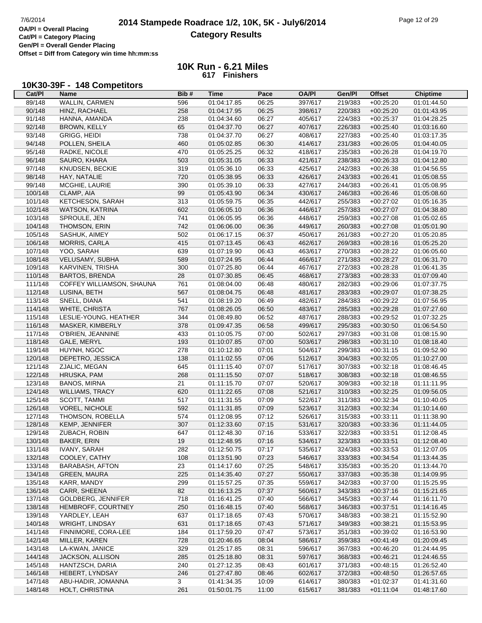# **2014 Stampede Roadrace 1/2, 10K, 5K - July6/2014** Page 12 of 29 Page 12 of 29 Page 12 of 29 **Category Results**

**Cat/Pl = Category Placing Gen/Pl = Overall Gender Placing Offset = Diff from Category win time hh:mm:ss**

> **10K Run - 6.21 Miles 617 Finishers**

## **10K30-39F - 148 Competitors**

| Cat/PI  | Name                      | Bib#         | Time        | Pace  | <b>OA/PI</b> | Gen/Pl  | <b>Offset</b> | <b>Chiptime</b> |
|---------|---------------------------|--------------|-------------|-------|--------------|---------|---------------|-----------------|
| 89/148  | WALLIN, CARMEN            | 596          | 01:04:17.85 | 06:25 | 397/617      | 219/383 | $+00:25:20$   | 01:01:44.50     |
| 90/148  | HINZ, RACHAEL             | 258          | 01:04:17.95 | 06:25 | 398/617      | 220/383 | $+00:25:20$   | 01:01:43.95     |
| 91/148  | HANNA, AMANDA             | 238          | 01:04:34.60 | 06:27 | 405/617      | 224/383 | $+00:25:37$   | 01:04:28.25     |
| 92/148  | <b>BROWN, KELLY</b>       | 65           | 01:04:37.70 | 06:27 | 407/617      | 226/383 | $+00:25:40$   | 01:03:16.60     |
| 93/148  | GRIGG, HEIDI              | 738          | 01:04:37.70 | 06:27 | 408/617      | 227/383 | $+00:25:40$   | 01:03:17.35     |
| 94/148  | POLLEN, SHEILA            | 460          | 01:05:02.85 | 06:30 | 414/617      | 231/383 | $+00:26:05$   | 01:04:40.05     |
| 95/148  | RADKE, NICOLE             | 470          | 01:05:25.25 | 06:32 | 418/617      | 235/383 | $+00:26:28$   | 01:04:19.70     |
| 96/148  | SAURO, KHARA              | 503          | 01:05:31.05 | 06:33 | 421/617      | 238/383 | $+00:26:33$   | 01:04:12.80     |
| 97/148  | KNUDSEN, BECKIE           | 319          | 01:05:36.10 | 06:33 | 425/617      | 242/383 | $+00:26:38$   | 01:04:56.55     |
| 98/148  | HAY, NATALIE              | 720          | 01:05:38.95 | 06:33 | 426/617      | 243/383 | $+00:26:41$   | 01:05:08.55     |
| 99/148  | MCGHIE, LAURIE            | 390          | 01:05:39.10 | 06:33 | 427/617      | 244/383 | $+00:26:41$   | 01:05:08.95     |
| 100/148 | CLAMP, AIA                | 99           | 01:05:43.90 | 06:34 | 430/617      | 246/383 | $+00:26:46$   | 01:05:08.60     |
| 101/148 | KETCHESON, SARAH          | 313          | 01:05:59.75 | 06:35 | 442/617      | 255/383 | $+00:27:02$   | 01:05:16.35     |
| 102/148 | <b>WATSON, KATRINA</b>    | 602          | 01:06:05.10 | 06:36 | 446/617      | 257/383 | $+00:27:07$   | 01:04:38.80     |
| 103/148 | SPROULE, JEN              | 741          | 01:06:05.95 | 06:36 | 448/617      | 259/383 | $+00:27:08$   | 01:05:02.65     |
| 104/148 | THOMSON, ERIN             | 742          | 01:06:06.00 | 06:36 | 449/617      | 260/383 | $+00:27:08$   | 01:05:01.90     |
| 105/148 | SASHUK, AIMEY             | 502          | 01:06:17.15 | 06:37 | 450/617      | 261/383 | $+00:27:20$   | 01:05:20.85     |
| 106/148 | MORRIS, CARLA             | 415          | 01:07:13.45 | 06:43 | 462/617      | 269/383 |               | 01:05:25.20     |
|         |                           | 639          | 01:07:19.90 | 06:43 |              |         | $+00:28:16$   | 01:06:05.60     |
| 107/148 | YOO, SARAH                |              |             |       | 463/617      | 270/383 | $+00:28:22$   |                 |
| 108/148 | VELUSAMY, SUBHA           | 589          | 01:07:24.95 | 06:44 | 466/617      | 271/383 | $+00:28:27$   | 01:06:31.70     |
| 109/148 | KARVINEN, TRISHA          | 300          | 01:07:25.80 | 06:44 | 467/617      | 272/383 | $+00:28:28$   | 01:06:41.35     |
| 110/148 | <b>BARTOS, BRENDA</b>     | 28           | 01:07:30.85 | 06:45 | 468/617      | 273/383 | $+00:28:33$   | 01:07:09.40     |
| 111/148 | COFFEY WILLIAMSON, SHAUNA | 761          | 01:08:04.00 | 06:48 | 480/617      | 282/383 | $+00:29:06$   | 01:07:37.75     |
| 112/148 | LUSINA, BETH              | 567          | 01:08:04.75 | 06:48 | 481/617      | 283/383 | $+00:29:07$   | 01:07:38.25     |
| 113/148 | SNELL, DIANA              | 541          | 01:08:19.20 | 06:49 | 482/617      | 284/383 | $+00:29:22$   | 01:07:56.95     |
| 114/148 | WHITE, CHRISTA            | 767          | 01:08:26.05 | 06:50 | 483/617      | 285/383 | $+00:29:28$   | 01:07:27.60     |
| 115/148 | LESLIE-YOUNG, HEATHER     | 344          | 01:08:49.80 | 06:52 | 487/617      | 288/383 | $+00:29:52$   | 01:07:32.25     |
| 116/148 | MASKER, KIMBERLY          | 378          | 01:09:47.35 | 06:58 | 499/617      | 295/383 | $+00:30:50$   | 01:06:54.50     |
| 117/148 | O'BRIEN, JEANNINE         | 433          | 01:10:05.75 | 07:00 | 502/617      | 297/383 | $+00:31:08$   | 01:08:15.90     |
| 118/148 | GALE, MERYL               | 193          | 01:10:07.85 | 07:00 | 503/617      | 298/383 | $+00:31:10$   | 01:08:18.40     |
| 119/148 | HUYNH, NGOC               | 278          | 01:10:12.80 | 07:01 | 504/617      | 299/383 | $+00:31:15$   | 01:09:52.90     |
| 120/148 | DEPETRO, JESSICA          | 138          | 01:11:02.55 | 07:06 | 512/617      | 304/383 | $+00:32:05$   | 01:10:27.00     |
| 121/148 | ZJALIC, MEGAN             | 645          | 01:11:15.40 | 07:07 | 517/617      | 307/383 | $+00:32:18$   | 01:08:46.45     |
| 122/148 | HRUSKA, PAM               | 268          | 01:11:15.50 | 07:07 | 518/617      | 308/383 | $+00:32:18$   | 01:08:46.55     |
| 123/148 | <b>BANOS, MIRNA</b>       | 21           | 01:11:15.70 | 07:07 | 520/617      | 309/383 | $+00:32:18$   | 01:11:11.95     |
| 124/148 | <b>WILLIAMS, TRACY</b>    | 620          | 01:11:22.65 | 07:08 | 521/617      | 310/383 | $+00:32:25$   | 01:09:56.05     |
| 125/148 | SCOTT, TAMMI              | 517          | 01:11:31.55 | 07:09 | 522/617      | 311/383 | $+00:32:34$   | 01:10:40.05     |
| 126/148 | VOREL, NICHOLE            | 592          | 01:11:31.85 | 07:09 | 523/617      | 312/383 | $+00:32:34$   | 01:10:14.60     |
| 127/148 | THOMSON, ROBELLA          | 574          | 01:12:08.95 | 07:12 | 526/617      | 315/383 | $+00:33:11$   | 01:11:38.90     |
| 128/148 | KEMP, JENNIFER            | 307          | 01:12:33.60 | 07:15 | 531/617      | 320/383 | $+00:33:36$   | 01:11:44.05     |
| 129/148 | ZUBACH, ROBIN             | 647          | 01:12:48.30 | 07:16 | 533/617      | 322/383 | $+00:33:51$   | 01:12:08.45     |
| 130/148 | <b>BAKER, ERIN</b>        | 19           | 01:12:48.95 | 07:16 | 534/617      | 323/383 | $+00:33:51$   | 01:12:08.40     |
| 131/148 | IVANY, SARAH              | 282          | 01:12:50.75 | 07:17 | 535/617      | 324/383 | $+00:33:53$   | 01:12:07.05     |
| 132/148 | COOLEY, CATHY             | 108          | 01:13:51.90 | 07:23 | 546/617      | 333/383 | $+00:34:54$   | 01:13:44.35     |
| 133/148 | <b>BARABASH, AFTON</b>    | 23           | 01:14:17.60 | 07:25 | 548/617      | 335/383 | $+00:35:20$   | 01:13:44.70     |
| 134/148 | <b>GREEN, MAURA</b>       | 225          | 01:14:35.40 | 07:27 | 550/617      | 337/383 | $+00:35:38$   | 01:14:09.95     |
| 135/148 | KARR, MANDY               | 299          | 01:15:57.25 | 07:35 | 559/617      | 342/383 | $+00:37:00$   | 01:15:25.95     |
| 136/148 | CARR, SHEENA              | 82           | 01:16:13.25 | 07:37 | 560/617      | 343/383 | $+00:37:16$   | 01:15:21.65     |
| 137/148 | <b>GOLDBERG, JENNIFER</b> | 718          | 01:16:41.25 | 07:40 | 566/617      | 345/383 | $+00:37:44$   | 01:16:11.70     |
| 138/148 | HEMBROFF, COURTNEY        | 250          | 01:16:48.15 | 07:40 | 568/617      | 346/383 | $+00:37:51$   | 01:14:16.45     |
| 139/148 | YARDLEY, LEAH             | 637          | 01:17:18.65 | 07:43 | 570/617      | 348/383 | $+00:38:21$   | 01:15:52.90     |
| 140/148 | <b>WRIGHT, LINDSAY</b>    | 631          | 01:17:18.65 | 07:43 | 571/617      | 349/383 | $+00:38:21$   | 01:15:53.95     |
| 141/148 | FINNIMORE, CORA-LEE       | 184          | 01:17:59.20 | 07:47 | 573/617      | 351/383 | $+00:39:02$   | 01:16:53.90     |
| 142/148 | MILLER, KAREN             | 728          | 01:20:46.65 | 08:04 | 586/617      | 359/383 | $+00:41:49$   | 01:20:09.45     |
| 143/148 | LA-KWAN, JANICE           | 329          | 01:25:17.85 | 08:31 | 596/617      | 367/383 | $+00:46:20$   | 01:24:44.95     |
| 144/148 | JACKSON, ALLISON          | 285          | 01:25:18.80 | 08:31 | 597/617      | 368/383 | $+00:46:21$   | 01:24:46.55     |
| 145/148 | HANTZSCH, DARIA           | 240          | 01:27:12.35 | 08:43 | 601/617      | 371/383 | $+00:48:15$   | 01:26:52.40     |
| 146/148 | HEBERT, LYNDSAY           | 246          | 01:27:47.80 | 08:46 | 602/617      | 372/383 | $+00:48:50$   | 01:26:57.65     |
| 147/148 |                           | $\mathbf{3}$ | 01:41:34.35 | 10:09 | 614/617      | 380/383 | $+01:02:37$   | 01:41:31.60     |
|         | ABU-HADIR, JOMANNA        |              |             |       |              |         |               |                 |
| 148/148 | HOLT, CHRISTINA           | 261          | 01:50:01.75 | 11:00 | 615/617      | 381/383 | $+01:11:04$   | 01:48:17.60     |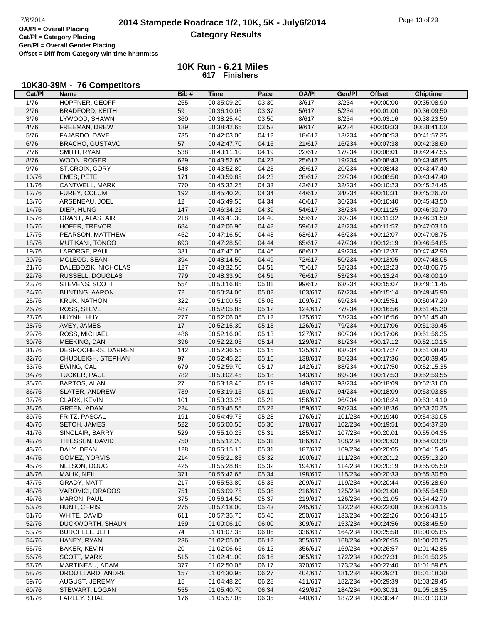> **10K Run - 6.21 Miles 617 Finishers**

## **10K30-39M - 76 Competitors**

| Cat/Pl | Name                    | Bib# | Time        | Pace  | <b>OA/PI</b> | Gen/Pl  | <b>Offset</b> | <b>Chiptime</b> |
|--------|-------------------------|------|-------------|-------|--------------|---------|---------------|-----------------|
| 1/76   | HOPFNER, GEOFF          | 265  | 00:35:09.20 | 03:30 | 3/617        | 3/234   | $+00:00:00$   | 00:35:08.90     |
| 2/76   | BRADFORD, KEITH         | 59   | 00:36:10.05 | 03:37 | 5/617        | 5/234   | $+00:01:00$   | 00:36:09.50     |
| 3/76   | LYWOOD, SHAWN           | 360  | 00:38:25.40 | 03:50 | 8/617        | 8/234   | $+00:03:16$   | 00:38:23.50     |
| 4/76   | FREEMAN, DREW           | 189  | 00:38:42.65 | 03:52 | 9/617        | 9/234   | $+00:03:33$   | 00:38:41.00     |
| 5/76   | FAJARDO, DAVE           | 735  | 00:42:03.00 | 04:12 | 18/617       | 13/234  | $+00:06:53$   | 00:41:57.35     |
| 6/76   | BRACHO, GUSTAVO         | 57   | 00:42:47.70 | 04:16 | 21/617       | 16/234  | $+00:07:38$   | 00:42:38.60     |
| 7/76   | SMITH, RYAN             | 538  | 00:43:11.10 | 04:19 | 22/617       | 17/234  | $+00:08:01$   | 00:42:47.55     |
| 8/76   | WOON, ROGER             | 629  | 00:43:52.65 | 04:23 | 25/617       | 19/234  | $+00:08:43$   | 00:43:46.85     |
| 9/76   | ST.CROIX, CORY          | 548  | 00:43:52.80 | 04:23 | 26/617       | 20/234  | $+00:08:43$   | 00:43:47.40     |
| 10/76  | EMES, PETE              | 171  | 00:43:59.85 | 04:23 | 28/617       | 22/234  | $+00:08:50$   | 00:43:47.40     |
| 11/76  | CANTWELL, MARK          | 770  | 00:45:32.25 | 04:33 | 42/617       | 32/234  | $+00:10:23$   | 00:45:24.45     |
| 12/76  | FUREY, COLUM            | 192  | 00:45:40.20 | 04:34 | 44/617       | 34/234  | $+00:10:31$   | 00:45:26.70     |
| 13/76  | ARSENEAU, JOEL          | 12   | 00:45:49.55 | 04:34 | 46/617       | 36/234  | $+00:10:40$   | 00:45:43.50     |
| 14/76  |                         | 147  |             | 04:39 |              | 38/234  |               |                 |
| 15/76  | DIEP, HUNG              |      | 00:46:34.25 |       | 54/617       | 39/234  | $+00:11:25$   | 00:46:30.70     |
|        | <b>GRANT, ALASTAIR</b>  | 218  | 00:46:41.30 | 04:40 | 55/617       |         | $+00:11:32$   | 00:46:31.50     |
| 16/76  | HOFER, TREVOR           | 684  | 00:47:06.90 | 04:42 | 59/617       | 42/234  | $+00:11:57$   | 00:47:03.10     |
| 17/76  | PEARSON, MATTHEW        | 452  | 00:47:16.50 | 04:43 | 63/617       | 45/234  | $+00:12:07$   | 00:47:08.75     |
| 18/76  | MUTIKANI, TONGO         | 693  | 00:47:28.50 | 04:44 | 65/617       | 47/234  | $+00:12:19$   | 00:46:54.85     |
| 19/76  | LAFORGE, PAUL           | 331  | 00:47:47.00 | 04:46 | 68/617       | 49/234  | $+00:12:37$   | 00:47:42.90     |
| 20/76  | MCLEOD, SEAN            | 394  | 00:48:14.50 | 04:49 | 72/617       | 50/234  | $+00:13:05$   | 00:47:48.05     |
| 21/76  | DALEBOZIK, NICHOLAS     | 127  | 00:48:32.50 | 04:51 | 75/617       | 52/234  | $+00:13:23$   | 00:48:06.75     |
| 22/76  | RUSSELL, DOUGLAS        | 779  | 00:48:33.90 | 04:51 | 76/617       | 53/234  | $+00:13:24$   | 00:48:00.10     |
| 23/76  | STEVENS, SCOTT          | 554  | 00:50:16.85 | 05:01 | 99/617       | 63/234  | $+00:15:07$   | 00:49:11.45     |
| 24/76  | <b>BUNTING, AARON</b>   | 72   | 00:50:24.00 | 05:02 | 103/617      | 67/234  | $+00:15:14$   | 00:49:45.90     |
| 25/76  | <b>KRUK, NATHON</b>     | 322  | 00:51:00.55 | 05:06 | 109/617      | 69/234  | $+00:15:51$   | 00:50:47.20     |
| 26/76  | ROSS, STEVE             | 487  | 00:52:05.85 | 05:12 | 124/617      | 77/234  | $+00:16:56$   | 00:51:45.30     |
| 27/76  | HUYNH, HUY              | 277  | 00:52:06.05 | 05:12 | 125/617      | 78/234  | $+00:16:56$   | 00:51:45.40     |
| 28/76  | AVEY, JAMES             | 17   | 00:52:15.30 | 05:13 | 126/617      | 79/234  | $+00:17:06$   | 00:51:39.45     |
| 29/76  | ROSS, MICHAEL           | 486  | 00:52:16.00 | 05:13 | 127/617      | 80/234  | $+00:17:06$   | 00:51:56.35     |
| 30/76  | MEEKING, DAN            | 396  | 00:52:22.05 | 05:14 | 129/617      | 81/234  | $+00:17:12$   | 00:52:10.15     |
| 31/76  | DESROCHERS, DARREN      | 142  | 00:52:36.55 | 05:15 | 135/617      | 83/234  | $+00:17:27$   | 00:51:08.40     |
| 32/76  | CHUDLEIGH, STEPHAN      | 97   | 00:52:45.25 | 05:16 | 138/617      | 85/234  | $+00:17:36$   | 00:50:39.45     |
| 33/76  | EWING, CAL              | 679  | 00:52:59.70 | 05:17 | 142/617      | 88/234  | $+00:17:50$   | 00:52:15.35     |
| 34/76  | TUCKER, PAUL            | 782  | 00:53:02.45 | 05:18 | 143/617      | 89/234  | $+00:17:53$   | 00:52:59.55     |
| 35/76  | <b>BARTOS, ALAN</b>     | 27   | 00:53:18.45 | 05:19 | 149/617      | 93/234  | $+00:18:09$   | 00:52:31.00     |
| 36/76  | <b>SLATER, ANDREW</b>   | 739  | 00:53:19.15 | 05:19 | 150/617      | 94/234  | $+00:18:09$   | 00:53:03.85     |
| 37/76  | CLARK, KEVIN            | 101  | 00:53:33.25 | 05:21 | 156/617      | 96/234  | $+00:18:24$   | 00:53:14.10     |
| 38/76  | GREEN, ADAM             | 224  | 00:53:45.55 | 05:22 | 159/617      | 97/234  | $+00:18:36$   | 00:53:20.25     |
| 39/76  | FRITZ, PASCAL           | 191  | 00:54:49.75 | 05:28 | 176/617      | 101/234 | $+00:19:40$   | 00:54:30.05     |
| 40/76  | SETCH, JAMES            | 522  | 00:55:00.55 | 05:30 | 178/617      | 102/234 | $+00:19:51$   | 00:54:37.30     |
| 41/76  | SINCLAIR, BARRY         | 529  | 00:55:10.25 | 05:31 | 185/617      | 107/234 | $+00:20:01$   | 00:55:04.35     |
| 42/76  | THIESSEN, DAVID         | 750  | 00:55:12.20 | 05:31 | 186/617      | 108/234 | $+00:20:03$   | 00:54:03.30     |
| 43/76  | DALY, DEAN              | 128  | 00:55:15.15 | 05:31 | 187/617      | 109/234 | $+00:20:05$   | 00:54:15.45     |
| 44/76  | GOMEZ, YORVIS           | 214  | 00:55:21.85 | 05:32 | 190/617      | 111/234 | $+00:20:12$   | 00:55:13.20     |
| 45/76  | NELSON, DOUG            | 425  | 00:55:28.85 | 05:32 | 194/617      | 114/234 | $+00:20:19$   | 00:55:05.50     |
| 46/76  | MALIK, NEIL             | 371  | 00:55:42.65 | 05:34 | 198/617      | 115/234 | $+00:20:33$   | 00:55:30.50     |
| 47/76  | GRADY, MATT             | 217  | 00:55:53.80 | 05:35 | 209/617      | 119/234 | $+00:20:44$   | 00:55:28.60     |
| 48/76  | <b>VAROVICI, DRAGOS</b> | 751  | 00:56:09.75 | 05:36 | 216/617      | 125/234 | $+00:21:00$   | 00:55:54.50     |
| 49/76  | <b>MARON, PAUL</b>      | 375  | 00:56:14.50 | 05:37 | 219/617      | 126/234 | $+00:21:05$   | 00:54:42.70     |
| 50/76  | HUNT, CHRIS             | 275  | 00:57:18.00 | 05:43 | 245/617      |         |               | 00:56:34.15     |
|        |                         |      | 00:57:35.75 |       |              | 132/234 | $+00:22:08$   |                 |
| 51/76  | WHITE, DAVID            | 611  |             | 05:45 | 250/617      | 133/234 | $+00:22:26$   | 00:56:43.15     |
| 52/76  | DUCKWORTH, SHAUN        | 159  | 01:00:06.10 | 06:00 | 309/617      | 153/234 | $+00:24:56$   | 00:58:45.50     |
| 53/76  | <b>BURCHELL, JEFF</b>   | 74   | 01:01:07.35 | 06:06 | 336/617      | 164/234 | $+00:25:58$   | 01:00:05.85     |
| 54/76  | HANEY, RYAN             | 236  | 01:02:05.00 | 06:12 | 355/617      | 168/234 | $+00:26:55$   | 01:00:20.75     |
| 55/76  | BAKER, KEVIN            | 20   | 01:02:06.65 | 06:12 | 356/617      | 169/234 | $+00:26:57$   | 01:01:42.85     |
| 56/76  | SCOTT, MARK             | 515  | 01:02:41.00 | 06:16 | 365/617      | 172/234 | $+00:27:31$   | 01:01:50.25     |
| 57/76  | MARTINEAU, ADAM         | 377  | 01:02:50.05 | 06:17 | 370/617      | 173/234 | $+00:27:40$   | 01:01:59.65     |
| 58/76  | DROUILLARD, ANDRE       | 157  | 01:04:30.95 | 06:27 | 404/617      | 181/234 | $+00:29:21$   | 01:01:18.30     |
| 59/76  | AUGUST, JEREMY          | 15   | 01:04:48.20 | 06:28 | 411/617      | 182/234 | $+00:29:39$   | 01:03:29.45     |
| 60/76  | STEWART, LOGAN          | 555  | 01:05:40.70 | 06:34 | 429/617      | 184/234 | $+00:30:31$   | 01:05:18.35     |
| 61/76  | FARLEY, SHAE            | 176  | 01:05:57.05 | 06:35 | 440/617      | 187/234 | $+00:30:47$   | 01:03:10.00     |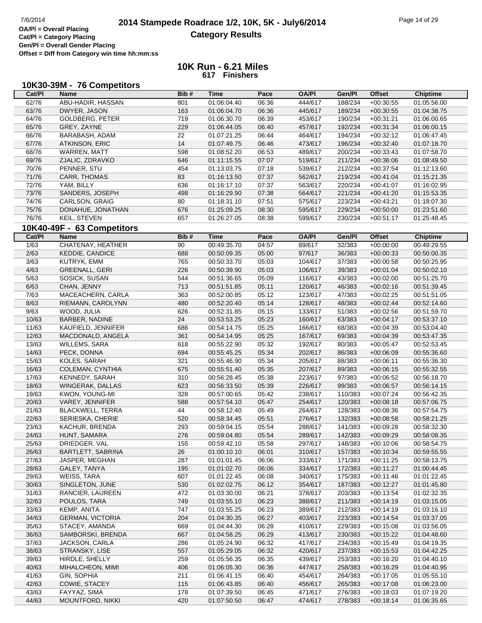# **2014 Stampede Roadrace 1/2, 10K, 5K - July6/2014** 7/6/2014 Page 14 of 29 **Category Results**

**Cat/Pl = Category Placing Gen/Pl = Overall Gender Placing Offset = Diff from Category win time hh:mm:ss**

|                | 10K30-39M - 76 Competitors |      |             |       |              |         |               |                 |
|----------------|----------------------------|------|-------------|-------|--------------|---------|---------------|-----------------|
| Cat/PI         | <b>Name</b>                | Bib# | <b>Time</b> | Pace  | <b>OA/PI</b> | Gen/Pl  | <b>Offset</b> | <b>Chiptime</b> |
| 62/76          | ABU-HADIR, HASSAN          | 801  | 01:06:04.40 | 06:36 | 444/617      | 188/234 | $+00:30:55$   | 01:05:56.00     |
| 63/76          | DWYER, JASON               | 163  | 01:06:04.70 | 06:36 | 445/617      | 189/234 | $+00:30:55$   | 01:04:38.75     |
| 64/76          | <b>GOLDBERG, PETER</b>     | 719  | 01:06:30.70 | 06:39 | 453/617      | 190/234 | $+00:31:21$   | 01:06:00.65     |
| 65/76          | GREY, ZAYNE                | 229  | 01:06:44.05 | 06:40 | 457/617      | 192/234 | $+00:31:34$   | 01:06:00.15     |
| 66/76          | BARABASH, ADAM             | 22   | 01:07:21.25 | 06:44 | 464/617      | 194/234 | $+00:32:12$   | 01:06:47.45     |
| 67/76          | <b>ATKINSON, ERIC</b>      | 14   | 01:07:49.75 | 06:46 | 473/617      | 196/234 | $+00:32:40$   | 01:07:18.70     |
| 68/76          | WARREN, MATT               | 598  | 01:08:52.20 | 06:53 | 489/617      | 200/234 | $+00:33:43$   | 01:07:58.70     |
| 69/76          | ZJALIC, ZDRAVKO            | 646  | 01:11:15.55 | 07:07 | 519/617      | 211/234 | $+00:36:06$   | 01:08:49.50     |
| 70/76          | PENNER, STU                | 454  | 01:13:03.75 | 07:18 | 539/617      | 212/234 | $+00:37:54$   | 01:12:13.60     |
| 71/76          | CARR, THOMAS               | 83   | 01:16:13.50 | 07:37 | 562/617      | 219/234 | $+00:41:04$   | 01:15:21.35     |
| 72/76          | YAM, BILLY                 | 636  | 01:16:17.10 | 07:37 | 563/617      | 220/234 | $+00:41:07$   | 01:16:02.95     |
| 73/76          | SANDERS, JOSEPH            | 498  | 01:16:29.90 | 07:38 | 564/617      | 221/234 | $+00:41:20$   | 01:15:53.35     |
| 74/76          | CARLSON, GRAIG             | 80   | 01:18:31.10 | 07:51 | 575/617      | 223/234 | $+00:43:21$   | 01:18:07.30     |
| 75/76          | DONAHUE, JONATHAN          | 676  | 01:25:09.25 | 08:30 | 595/617      | 229/234 | $+00:50:00$   | 01:23:51.60     |
| 76/76          | KEIL, STEVEN               | 657  | 01:26:27.05 | 08:38 | 599/617      | 230/234 | $+00:51:17$   | 01:25:48.45     |
|                |                            |      |             |       |              |         |               |                 |
|                | 10K40-49F - 63 Competitors |      |             |       |              |         |               |                 |
| Cat/PI         | <b>Name</b>                | Bib# | <b>Time</b> | Pace  | <b>OA/PI</b> | Gen/Pl  | <b>Offset</b> | <b>Chiptime</b> |
| $\frac{1}{63}$ | CHATENAY, HEATHER          | 90   | 00:49:35.70 | 04:57 | 89/617       | 32/383  | $+00:00:00$   | 00:49:29.55     |
| 2/63           | KEDDIE, CANDICE            | 688  | 00:50:09.35 | 05:00 | 97/617       | 36/383  | $+00:00:33$   | 00:50:00.35     |
| 3/63           | KUTRYK, EMM                | 765  | 00:50:33.70 | 05:03 | 104/617      | 37/383  | $+00:00:58$   | 00:50:25.95     |
| 4/63           | <b>GREENALL, GERI</b>      | 226  | 00:50:39.90 | 05:03 | 106/617      | 39/383  | $+00:01:04$   | 00:50:02.10     |
| 5/63           | SOSICK, SUSAN              | 544  | 00:51:36.65 | 05:09 | 116/617      | 43/383  | $+00:02:00$   | 00:51:25.70     |
| 6/63           | CHAN, JENNY                | 713  | 00:51:51.85 | 05:11 | 120/617      | 46/383  | $+00:02:16$   | 00:51:39.45     |
| $7/63$         | MACEACHERN, CARLA          | 363  | 00:52:00.85 | 05:12 | 123/617      | 47/383  | $+00:02:25$   | 00:51:51.05     |
| 8/63           | RIEMANN, CAROLYNN          | 480  | 00:52:20.40 | 05:14 | 128/617      | 48/383  | $+00:02:44$   | 00:52:14.60     |
| 9/63           | WOOD, JULIA                | 626  | 00:52:31.85 | 05:15 | 133/617      | 51/383  | $+00:02:56$   | 00:51:59.70     |
| 10/63          | <b>BARBER, NADINE</b>      | 24   | 00:53:53.25 | 05:23 | 160/617      | 63/383  | $+00:04:17$   | 00:53:37.10     |
| 11/63          | KAUFIELD, JENNIFER         | 686  | 00:54:14.75 | 05:25 | 166/617      | 68/383  | $+00:04:39$   | 00:53:04.40     |
| 12/63          | MACDONALD, ANGELA          | 361  | 00:54:14.95 | 05:25 | 167/617      | 69/383  | $+00:04:39$   | 00:53:47.35     |
| 13/63          | WILLEMS, SARA              | 618  | 00:55:22.90 | 05:32 | 192/617      | 80/383  | $+00:05:47$   | 00:52:53.45     |
| 14/63          | PECK, DONNA                | 694  | 00:55:45.25 | 05:34 | 202/617      | 86/383  | $+00:06:09$   | 00:55:36.60     |
| 15/63          | KOLES, SARAH               | 321  | 00:55:46.90 | 05:34 | 205/617      | 88/383  | $+00:06:11$   | 00:55:36.30     |
| 16/63          | COLEMAN, CYNTHIA           | 675  | 00:55:51.40 | 05:35 | 207/617      | 89/383  | $+00:06:15$   | 00:55:32.55     |
| 17/63          | KENNEDY, SARAH             | 310  | 00:56:28.45 | 05:38 | 223/617      | 97/383  | $+00:06:52$   | 00:56:18.70     |
| 18/63          | WINGERAK, DALLAS           | 623  | 00:56:33.50 | 05:39 | 226/617      | 99/383  | $+00:06:57$   | 00:56:14.15     |
| 19/63          | KWON, YOUNG-MI             | 328  | 00:57:00.65 | 05:42 | 238/617      | 110/383 | $+00:07:24$   | 00:56:42.35     |
| 20/63          | VAREY, JENNIFER            | 588  | 00:57:54.10 | 05:47 | 254/617      | 120/383 | $+00:08:18$   | 00:57:06.75     |
| 21/63          | <b>BLACKWELL, TERRA</b>    | 44   | 00:58:12.40 | 05:49 | 264/617      | 128/383 | $+00:08:36$   | 00:57:54.75     |
| 22/63          | SERIESKA, CHERIE           | 520  | 00:58:34.45 | 05:51 | 276/617      | 132/383 | $+00:08:58$   | 00:58:21.25     |
| 23/63          | KACHUR, BRENDA             | 293  | 00:59:04.15 | 05:54 | 288/617      | 141/383 | $+00:09:28$   | 00:58:32.30     |
| 24/63          | HUNT, SAMARA               | 276  | 00:59:04.80 | 05:54 | 289/617      | 142/383 | $+00:09:29$   | 00:58:08.35     |
| 25/63          | DRIEDGER, VAL              | 155  | 00:59:42.10 | 05:58 | 297/617      | 148/383 | $+00:10:06$   | 00:58:54.75     |
| 26/63          | BARTLETT, SABRINA          | 26   | 01:00:10.10 | 06:01 | 310/617      | 157/383 | $+00:10:34$   | 00:59:55.55     |
| 27/63          | JASPER, MEGHAN             | 287  | 01:01:01.45 | 06:06 | 333/617      | 171/383 | $+00:11:25$   | 00:58:13.75     |
| 28/63          | GALEY, TANYA               | 195  | 01:01:02.70 | 06:06 | 334/617      | 172/383 | $+00:11:27$   | 01:00:44.45     |
| 29/63          | <b>WEISS, TARA</b>         | 607  | 01:01:22.45 | 06:08 | 340/617      | 175/383 | $+00:11:46$   | 01:01:22.45     |
| 30/63          | SINGLETON, JUNE            | 530  | 01:02:02.75 | 06:12 | 354/617      | 187/383 | $+00:12:27$   | 01:01:45.80     |
| 31/63          | RANCIER, LAUREEN           | 472  | 01:03:30.00 | 06:21 | 378/617      | 203/383 | $+00:13:54$   | 01:02:32.35     |
| 32/63          | POULOS, TARA               | 749  | 01:03:55.10 | 06:23 | 388/617      | 211/383 | $+00:14:19$   | 01:03:15.05     |
| 33/63          | KEMP, ANITA                | 747  | 01:03:55.25 | 06:23 | 389/617      | 212/383 | $+00:14:19$   | 01:03:16.10     |
| 34/63          | <b>GERMAN, VICTORIA</b>    | 204  | 01:04:30.35 | 06:27 | 403/617      | 223/383 | $+00:14:54$   | 01:03:37.05     |
| 35/63          | STACEY, AMANDA             | 669  | 01:04:44.30 | 06:28 | 410/617      | 229/383 | $+00:15:08$   | 01:03:56.05     |
| 36/63          | SAMBORSKI, BRENDA          | 667  | 01:04:58.25 | 06:29 | 413/617      | 230/383 | $+00:15:22$   | 01:04:48.60     |
| 37/63          | JACKSON, CARLA             | 286  | 01:05:24.90 | 06:32 | 417/617      | 234/383 | $+00:15:49$   | 01:04:19.35     |
| 38/63          | STRANSKY, LISE             | 557  | 01:05:29.05 | 06:32 | 420/617      | 237/383 | $+00:15:53$   | 01:04:42.25     |
| 39/63          | HIRDLE, SHELLY             | 259  | 01:05:56.35 | 06:35 | 439/617      | 253/383 | $+00:16:20$   | 01:04:40.10     |
| 40/63          | MIHALCHEON, MIMI           | 406  | 01:06:05.30 | 06:36 | 447/617      | 258/383 | $+00:16:29$   | 01:04:40.95     |
| 41/63          | GIN, SOPHIA                | 211  | 01:06:41.15 | 06:40 | 454/617      | 264/383 | $+00:17:05$   | 01:05:55.10     |
| 42/63          | COWIE, STACEY              | 115  | 01:06:43.85 | 06:40 | 456/617      | 265/383 | $+00:17:08$   | 01:06:23.00     |
| 43/63          | FAYYAZ, SIMA               | 178  | 01:07:39.50 | 06:45 | 471/617      | 276/383 | $+00:18:03$   | 01:07:19.20     |
| 44/63          | MOUNTFORD, NIKKI           | 420  | 01:07:50.50 | 06:47 | 474/617      | 278/383 | $+00:18:14$   | 01:06:35.65     |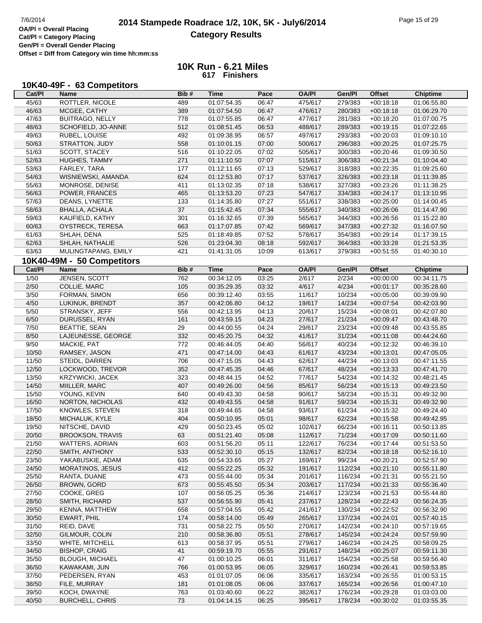| 10K40-49F - 63 Competitors |  |
|----------------------------|--|
|----------------------------|--|

| Cat/PI | Name                       | Bib# | <b>Time</b> | Pace  | <b>OA/PI</b> | Gen/Pl  | <b>Offset</b> | <b>Chiptime</b> |
|--------|----------------------------|------|-------------|-------|--------------|---------|---------------|-----------------|
| 45/63  | ROTTLER, NICOLE            | 489  | 01:07:54.35 | 06:47 | 475/617      | 279/383 | $+00:18:18$   | 01:06:55.80     |
| 46/63  | MCGEE, CATHY               | 389  | 01:07:54.50 | 06:47 | 476/617      | 280/383 | $+00:18:18$   | 01:06:29.70     |
| 47/63  | <b>BUITRAGO, NELLY</b>     | 778  | 01:07:55.85 | 06:47 | 477/617      | 281/383 | $+00:18:20$   | 01:07:00.75     |
| 48/63  | SCHOFIELD, JO-ANNE         | 512  | 01:08:51.45 | 06:53 | 488/617      | 289/383 | $+00:19:15$   | 01:07:22.65     |
| 49/63  | RUBEL, LOUISE              | 492  | 01:09:38.95 | 06:57 | 497/617      | 293/383 | $+00:20:03$   | 01:09:10.10     |
| 50/63  | STRATTON, JUDY             | 558  | 01:10:01.15 | 07:00 | 500/617      | 296/383 | $+00:20:25$   | 01:07:25.75     |
| 51/63  | SCOTT, STACEY              | 516  | 01:10:22.05 | 07:02 | 505/617      | 300/383 | $+00:20:46$   | 01:09:30.50     |
| 52/63  | HUGHES, TAMMY              | 271  | 01:11:10.50 | 07:07 | 515/617      | 306/383 | $+00:21:34$   | 01:10:04.40     |
| 53/63  | FARLEY, TARA               | 177  | 01:12:11.65 | 07:13 | 529/617      | 318/383 | $+00:22:35$   | 01:09:25.60     |
| 54/63  | WISNIEWSKI, AMANDA         | 624  | 01:12:53.80 | 07:17 | 537/617      | 326/383 | $+00:23:18$   | 01:11:39.85     |
| 55/63  | MONROSE, DENISE            | 411  | 01:13:02.35 | 07:18 | 538/617      | 327/383 | $+00:23:26$   | 01:11:38.25     |
| 56/63  | POWER, FRANCES             | 465  | 01:13:53.20 | 07:23 | 547/617      | 334/383 | $+00:24:17$   | 01:13:10.95     |
| 57/63  | DEANS, LYNETTE             | 133  | 01:14:35.80 | 07:27 | 551/617      | 338/383 | $+00:25:00$   | 01:14:00.45     |
| 58/63  | <b>BHALLA, ACHALA</b>      | 37   | 01:15:42.45 | 07:34 | 555/617      | 340/383 | $+00:26:06$   | 01:14:47.90     |
| 59/63  | KAUFIELD, KATHY            | 301  | 01:16:32.65 | 07:39 | 565/617      | 344/383 | $+00:26:56$   | 01:15:22.80     |
| 60/63  | OYSTRECK, TERESA           | 663  | 01:17:07.85 | 07:42 | 569/617      | 347/383 | $+00:27:32$   | 01:16:07.50     |
| 61/63  | SHLAH, DENA                | 525  | 01:18:49.85 | 07:52 | 578/617      | 354/383 | $+00:29:14$   | 01:17:39.15     |
| 62/63  | SHLAH, NATHALIE            | 526  | 01:23:04.30 | 08:18 | 592/617      | 364/383 | $+00:33:28$   | 01:21:53.35     |
| 63/63  | MULINGTAPANG, EMILY        | 421  | 01:41:31.05 | 10:09 | 613/617      | 379/383 | $+00:51:55$   | 01:40:30.10     |
|        |                            |      |             |       |              |         |               |                 |
|        | 10K40-49M - 50 Competitors |      |             |       |              |         |               |                 |
| Cat/PI | Name                       | Bib# | <b>Time</b> | Pace  | <b>OA/PI</b> | Gen/Pl  | <b>Offset</b> | <b>Chiptime</b> |
| 1/50   | JENSEN, SCOTT              | 762  | 00:34:12.05 | 03:25 | 2/617        | 2/234   | $+00:00:00$   | 00:34:11.75     |
| $2/50$ | COLLIE, MARC               | 105  | 00:35:29.35 | 03:32 | 4/617        | 4/234   | $+00:01:17$   | 00:35:28.60     |
| 3/50   | FORMAN, SIMON              | 656  | 00:39:12.40 | 03:55 | 11/617       | 10/234  | $+00:05:00$   | 00:39:09.90     |
| 4/50   | LUKINUK, BRENDT            | 357  | 00:42:06.80 | 04:12 | 19/617       | 14/234  | $+00:07:54$   | 00:42:03.90     |
| $5/50$ | STRANSKY, JEFF             | 556  | 00:42:13.95 | 04:13 | 20/617       | 15/234  | $+00:08:01$   | 00:42:07.80     |
| 6/50   | DURUSSEL, RYAN             | 161  | 00:43:59.15 | 04:23 | 27/617       | 21/234  | $+00:09:47$   | 00:43:48.70     |
| 7/50   | <b>BEATTIE, SEAN</b>       | 29   | 00:44:00.55 | 04:24 | 29/617       | 23/234  | $+00:09:48$   | 00:43:55.85     |
| 8/50   | LAJEUNESSE, GEORGE         | 332  | 00:45:20.75 | 04:32 | 41/617       | 31/234  | $+00:11:08$   | 00:44:24.60     |
| 9/50   | MACKIE, PAT                | 772  | 00:46:44.05 | 04:40 | 56/617       | 40/234  | $+00:12:32$   | 00:46:39.10     |
| 10/50  | RAMSEY, JASON              | 471  | 00:47:14.00 | 04:43 | 61/617       | 43/234  | $+00:13:01$   | 00:47:05.05     |
| 11/50  | STEIDL, DARREN             | 706  | 00:47:15.05 | 04:43 | 62/617       | 44/234  | $+00:13:03$   | 00:47:11.55     |
| 12/50  | LOCKWOOD, TREVOR           | 352  | 00:47:45.35 | 04:46 | 67/617       | 48/234  | $+00:13:33$   | 00:47:41.70     |
| 13/50  | KRZYWICKI, JACEK           | 323  | 00:48:44.15 | 04:52 | 77/617       | 54/234  | $+00:14:32$   | 00:48:21.45     |
| 14/50  | MIILLER, MARC              | 407  | 00:49:26.00 | 04:56 | 85/617       | 56/234  | $+00:15:13$   | 00:49:23.50     |
| 15/50  | YOUNG, KEVIN               | 640  | 00:49:43.30 | 04:58 | 90/617       | 58/234  | $+00:15:31$   | 00:49:32.90     |
| 16/50  | NORTON, NICHOLAS           | 432  | 00:49:43.55 | 04:58 | 91/617       | 59/234  | $+00:15:31$   | 00:49:32.90     |
| 17/50  | KNOWLES, STEVEN            | 318  | 00:49:44.65 | 04:58 | 93/617       | 61/234  | $+00:15:32$   | 00:49:24.40     |
| 18/50  | MICHALUK, KYLE             | 404  | 00:50:10.95 | 05:01 | 98/617       | 62/234  | $+00:15:58$   | 00:49:42.95     |
| 19/50  | NITSCHE, DAVID             | 429  | 00:50:23.45 | 05:02 | 102/617      | 66/234  | $+00:16:11$   | 00:50:13.85     |
| 20/50  | <b>BROOKSON, TRAVIS</b>    | 63   | 00:51:21.40 | 05:08 | 112/617      | 71/234  | $+00:17:09$   | 00:50:11.60     |
| 21/50  | <b>WATTERS, ADRIAN</b>     | 603  | 00:51:56.20 | 05:11 | 122/617      | 76/234  | $+00:17:44$   | 00:51:53.50     |
| 22/50  | SMITH, ANTHONY             | 533  | 00:52:30.10 | 05:15 | 132/617      | 82/234  | $+00:18:18$   | 00:52:16.10     |
| 23/50  | YAKABUSKIE, ADAM           | 635  | 00:54:33.65 | 05:27 | 169/617      | 99/234  | $+00:20:21$   | 00:52:57.90     |
| 24/50  | MORATINOS, JESUS           | 412  | 00:55:22.25 | 05:32 | 191/617      | 112/234 | $+00:21:10$   | 00:55:11.80     |
| 25/50  | RANTA, DUANE               | 473  | 00:55:44.00 | 05:34 | 201/617      | 116/234 | $+00:21:31$   | 00:55:21.50     |
| 26/50  | <b>BROWN, GORD</b>         | 673  | 00:55:45.50 | 05:34 | 203/617      | 117/234 | $+00:21:33$   | 00:55:36.40     |
| 27/50  | COOKE, GREG                | 107  | 00:56:05.25 | 05:36 | 214/617      | 123/234 | $+00:21:53$   | 00:55:44.80     |
| 28/50  | SMITH, RICHARD             | 537  | 00:56:55.90 | 05:41 | 237/617      | 128/234 | $+00:22:43$   | 00:56:24.35     |
| 29/50  | KENNA, MATTHEW             | 658  | 00:57:04.55 | 05:42 | 241/617      | 130/234 | $+00:22:52$   | 00:56:32.90     |
| 30/50  | EWART, PHIL                | 174  | 00:58:14.00 | 05:49 | 265/617      | 137/234 | $+00:24:01$   | 00:57:40.15     |
| 31/50  | REID, DAVE                 | 731  | 00:58:22.75 | 05:50 | 270/617      | 142/234 | $+00:24:10$   | 00:57:19.65     |
| 32/50  | GILMOUR, COLIN             | 210  | 00:58:36.80 | 05:51 | 278/617      | 145/234 | $+00:24:24$   | 00:57:59.90     |
| 33/50  | WHITE, MITCHELL            | 613  | 00:58:37.95 | 05:51 | 279/617      | 146/234 | $+00:24:25$   | 00:58:09.25     |
| 34/50  | <b>BISHOP, CRAIG</b>       | $41$ | 00:59:19.70 | 05:55 | 291/617      | 148/234 | $+00:25:07$   | 00:59:11.30     |
| 35/50  | <b>BLOUGH, MICHAEL</b>     | 47   | 01:00:10.25 | 06:01 | 311/617      | 154/234 | $+00:25:58$   | 00:59:56.40     |
| 36/50  | KAWAKAMI, JUN              | 766  | 01:00:53.95 | 06:05 | 329/617      | 160/234 | $+00:26:41$   | 00:59:53.85     |
| 37/50  | PEDERSEN, RYAN             | 453  | 01:01:07.05 | 06:06 | 335/617      | 163/234 | $+00:26:55$   | 01:00:53.15     |
| 38/50  | FILE, MURRAY               | 181  | 01:01:08.05 | 06:06 | 337/617      | 165/234 | $+00:26:56$   | 01:00:47.10     |
| 39/50  | KOCH, DWAYNE               | 763  | 01:03:40.60 | 06:22 | 382/617      | 176/234 | $+00:29:28$   | 01:03:03.00     |
| 40/50  | <b>BURCHELL, CHRIS</b>     | 73   | 01:04:14.15 | 06:25 | 395/617      | 178/234 | $+00:30:02$   | 01:03:55.35     |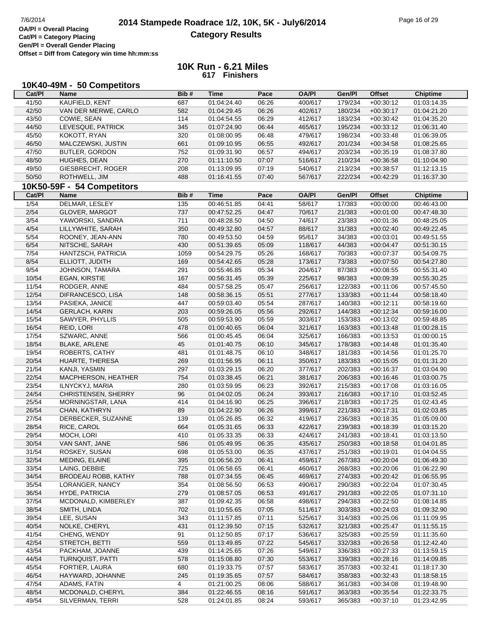| Cat/PI | 10K40-49M - 50 Competitors<br><b>Name</b> | Bib# | <b>Time</b> | Pace  | <b>OA/PI</b> | Gen/Pl  | <b>Offset</b> | <b>Chiptime</b> |
|--------|-------------------------------------------|------|-------------|-------|--------------|---------|---------------|-----------------|
| 41/50  | KAUFIELD, KENT                            | 687  | 01:04:24.40 | 06:26 | 400/617      | 179/234 | $+00:30:12$   | 01:03:14.35     |
| 42/50  | VAN DER MERWE, CARLO                      | 582  | 01:04:29.45 | 06:26 | 402/617      | 180/234 | $+00:30:17$   | 01:04:21.20     |
| 43/50  | COWIE, SEAN                               | 114  | 01:04:54.55 | 06:29 | 412/617      | 183/234 | $+00:30:42$   | 01:04:35.20     |
| 44/50  | LEVESQUE, PATRICK                         | 345  | 01:07:24.90 | 06:44 | 465/617      | 195/234 | $+00:33:12$   | 01:06:31.40     |
| 45/50  | <b>KOKOTT, RYAN</b>                       | 320  | 01:08:00.95 | 06:48 | 479/617      | 198/234 | $+00:33:48$   | 01:06:39.05     |
| 46/50  | MALCZEWSKI, JUSTIN                        | 661  | 01:09:10.95 | 06:55 | 492/617      | 201/234 | $+00:34:58$   | 01:08:25.65     |
| 47/50  | <b>BUTLER, GORDON</b>                     | 752  | 01:09:31.90 | 06:57 | 494/617      | 203/234 | $+00:35:19$   | 01:08:37.80     |
| 48/50  | HUGHES, DEAN                              | 270  | 01:11:10.50 | 07:07 | 516/617      | 210/234 | $+00:36:58$   | 01:10:04.90     |
| 49/50  | GIESBRECHT, ROGER                         | 208  | 01:13:09.95 | 07:19 | 540/617      | 213/234 | $+00:38:57$   | 01:12:13.15     |
| 50/50  | ROTHWELL, JIM                             | 488  | 01:16:41.55 | 07:40 | 567/617      | 222/234 | $+00:42:29$   | 01:16:37.30     |
|        |                                           |      |             |       |              |         |               |                 |
|        | 10K50-59F - 54 Competitors                |      | <b>Time</b> |       |              |         |               |                 |
| Cat/PI | <b>Name</b>                               | Bib# |             | Pace  | <b>OA/PI</b> | Gen/Pl  | <b>Offset</b> | <b>Chiptime</b> |
| 1/54   | DELMAR, LESLEY                            | 135  | 00:46:51.85 | 04:41 | 58/617       | 17/383  | $+00:00:00$   | 00:46:43.00     |
| 2/54   | GLOVER, MARGOT                            | 737  | 00:47:52.25 | 04:47 | 70/617       | 21/383  | $+00:01:00$   | 00:47:48.30     |
| 3/54   | YAWORSKI, SANDRA                          | 711  | 00:48:28.50 | 04:50 | 74/617       | 23/383  | $+00:01:36$   | 00:48:25.05     |
| 4/54   | LILLYWHITE, SARAH                         | 350  | 00:49:32.80 | 04:57 | 88/617       | 31/383  | $+00:02:40$   | 00:49:22.45     |
| $5/54$ | ROONEY, JEAN-ANN                          | 780  | 00:49:53.50 | 04:59 | 95/617       | 34/383  | $+00:03:01$   | 00:49:51.55     |
| 6/54   | NITSCHE, SARAH                            | 430  | 00:51:39.65 | 05:09 | 118/617      | 44/383  | $+00:04:47$   | 00:51:30.15     |
| 7/54   | HANTZSCH, PATRICIA                        | 1059 | 00:54:29.75 | 05:26 | 168/617      | 70/383  | $+00:07:37$   | 00:54:09.75     |
| 8/54   | ELLIOTT, JUDITH                           | 169  | 00:54:42.65 | 05:28 | 173/617      | 73/383  | $+00:07:50$   | 00:54:27.80     |
| 9/54   | JOHNSON, TAMARA                           | 291  | 00:55:46.85 | 05:34 | 204/617      | 87/383  | $+00:08:55$   | 00:55:31.40     |
| 10/54  | <b>EGAN, KIRSTIE</b>                      | 167  | 00:56:31.45 | 05:39 | 225/617      | 98/383  | $+00:09:39$   | 00:55:30.25     |
| 11/54  | RODGER, ANNE                              | 484  | 00:57:58.25 | 05:47 | 256/617      | 122/383 | $+00:11:06$   | 00:57:45.50     |
| 12/54  | DIFRANCESCO, LISA                         | 148  | 00:58:36.15 | 05:51 | 277/617      | 133/383 | $+00:11:44$   | 00:58:18.40     |
| 13/54  | PASIEKA, JANICE                           | 447  | 00:59:03.40 | 05:54 | 287/617      | 140/383 | $+00:12:11$   | 00:58:19.60     |
| 14/54  | <b>GERLACH, KARIN</b>                     | 203  | 00:59:26.05 | 05:56 | 292/617      | 144/383 | $+00:12:34$   | 00:59:16.00     |
| 15/54  | SAWYER, PHYLLIS                           | 505  | 00:59:53.90 | 05:59 | 303/617      | 153/383 | $+00:13:02$   | 00:59:48.85     |
| 16/54  | REID, LORI                                | 478  | 01:00:40.65 | 06:04 | 321/617      | 163/383 | $+00:13:48$   | 01:00:28.15     |
| 17/54  | SZWARC, ANNE                              | 566  | 01:00:45.45 | 06:04 | 325/617      | 166/383 | $+00:13:53$   | 01:00:00.15     |
| 18/54  | <b>BLAKE, ARLENE</b>                      | 45   | 01:01:40.75 | 06:10 | 345/617      | 178/383 | $+00:14:48$   | 01:01:35.40     |
| 19/54  | <b>ROBERTS, CATHY</b>                     | 481  | 01:01:48.75 | 06:10 | 348/617      | 181/383 | $+00:14:56$   | 01:01:25.70     |
| 20/54  | HUARTE, THERESA                           | 269  | 01:01:56.95 | 06:11 | 350/617      | 183/383 | $+00:15:05$   | 01:01:31.20     |
| 21/54  | KANJI, YASMIN                             | 297  | 01:03:29.15 | 06:20 | 377/617      | 202/383 | $+00:16:37$   | 01:03:04.90     |
| 22/54  | MACPHERSON, HEATHER                       | 754  | 01:03:38.45 | 06:21 | 381/617      | 206/383 | $+00:16:46$   | 01:03:00.75     |
| 23/54  | ILNYCKYJ, MARIA                           | 280  | 01:03:59.95 | 06:23 | 392/617      | 215/383 | $+00:17:08$   | 01:03:16.05     |
| 24/54  | <b>CHRISTENSEN, SHERRY</b>                | 96   | 01:04:02.05 | 06:24 | 393/617      | 216/383 | $+00:17:10$   | 01:03:52.45     |
| 25/54  | MORNINGSTAR, LANA                         | 414  | 01:04:16.90 | 06:25 | 396/617      | 218/383 | $+00:17:25$   | 01:02:43.45     |
| 26/54  | CHAN, KATHRYN                             | 89   | 01:04:22.90 | 06:26 | 399/617      | 221/383 | $+00:17:31$   | 01:02:03.85     |
| 27/54  | DERBECKER, SUZANNE                        | 139  | 01:05:26.85 | 06:32 | 419/617      | 236/383 | $+00:18:35$   | 01:05:09.00     |
| 28/54  | RICE, CAROL                               | 664  | 01:05:31.65 | 06:33 | 422/617      | 239/383 | $+00:18:39$   | 01:03:15.20     |
| 29/54  | MOCH, LORI                                | 410  | 01:05:33.35 | 06:33 | 424/617      | 241/383 | $+00:18:41$   | 01:03:13.50     |
| 30/54  | VAN SANT, JANE                            | 586  | 01:05:49.95 | 06:35 | 435/617      | 250/383 | $+00:18:58$   | 01:04:01.85     |
| 31/54  | ROSKEY, SUSAN                             | 698  | 01:05:53.00 | 06:35 | 437/617      | 251/383 | $+00:19:01$   | 01:04:04.55     |
| 32/54  | MEDING, ELAINE                            | 395  | 01:06:56.20 | 06:41 | 459/617      | 267/383 | $+00:20:04$   | 01:06:49.30     |
| 33/54  | LAING, DEBBIE                             | 725  | 01:06:58.65 | 06:41 | 460/617      | 268/383 | $+00:20:06$   | 01:06:22.90     |
| 34/54  | <b>BRODEAU ROBB, KATHY</b>                | 788  | 01:07:34.55 | 06:45 | 469/617      | 274/383 | $+00:20:42$   | 01:06:55.95     |
| 35/54  | LORANGER, NANCY                           | 354  | 01:08:56.50 | 06:53 | 490/617      | 290/383 | $+00:22:04$   | 01:07:30.45     |
| 36/54  | HYDE, PATRICIA                            | 279  | 01:08:57.05 | 06:53 | 491/617      | 291/383 | $+00:22:05$   | 01:07:31.10     |
| 37/54  | MCDONALD, KIMBERLEY                       | 387  | 01:09:42.35 | 06:58 | 498/617      | 294/383 | $+00:22:50$   | 01:08:14.85     |
| 38/54  | SMITH, LINDA                              | 702  | 01:10:55.65 | 07:05 | 511/617      | 303/383 | $+00:24:03$   | 01:09:32.90     |
| 39/54  | LEE, SUSAN                                | 343  | 01:11:57.85 | 07:11 | 525/617      | 314/383 | $+00:25:06$   | 01:11:09.95     |
| 40/54  | NOLKE, CHERYL                             | 431  | 01:12:39.50 | 07:15 | 532/617      | 321/383 | $+00:25:47$   | 01:11:55.15     |
| 41/54  | CHENG, WENDY                              | 91   | 01:12:50.85 | 07:17 | 536/617      | 325/383 | $+00:25:59$   | 01:11:35.60     |
| 42/54  | STRETCH, BETTI                            | 559  | 01:13:49.85 | 07:22 | 545/617      | 332/383 | $+00:26:58$   | 01:12:42.40     |
| 43/54  | PACKHAM, JOANNE                           | 439  | 01:14:25.65 | 07:26 | 549/617      | 336/383 | $+00:27:33$   | 01:13:59.15     |
| 44/54  | <b>TURNQUIST, PATTI</b>                   | 578  | 01:15:08.80 | 07:30 | 553/617      | 339/383 | $+00:28:16$   | 01:14:09.85     |
| 45/54  | FORTIER, LAURA                            | 680  | 01:19:33.75 | 07:57 | 583/617      | 357/383 | $+00:32:41$   | 01:18:17.30     |
| 46/54  | HAYWARD, JOHANNE                          | 245  | 01:19:35.65 | 07:57 | 584/617      | 358/383 | $+00:32:43$   | 01:18:58.15     |
| 47/54  | ADAMS, FATIN                              | 4    | 01:21:00.25 | 08:06 | 588/617      | 361/383 | $+00:34:08$   | 01:19:48.90     |
| 48/54  | MCDONALD, CHERYL                          | 384  | 01:22:46.55 | 08:16 | 591/617      | 363/383 | $+00:35:54$   | 01:22:33.75     |
| 49/54  | SILVERMAN, TERRI                          | 528  | 01:24:01.85 | 08:24 | 593/617      | 365/383 | $+00:37:10$   | 01:23:42.95     |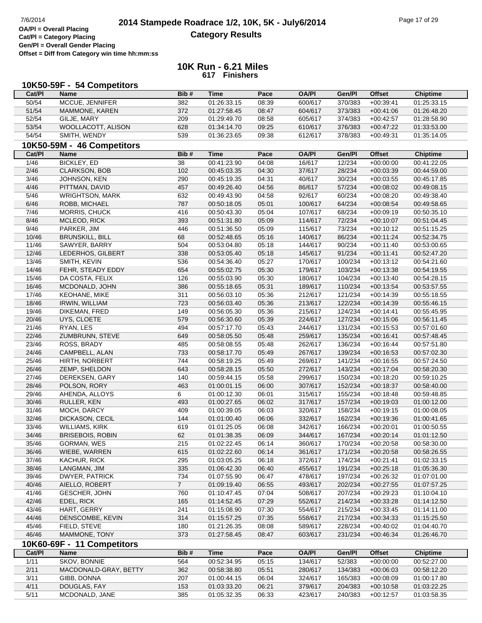|                | 10K50-59F - 54 Competitors        |                |             |       |              |         |               |                 |
|----------------|-----------------------------------|----------------|-------------|-------|--------------|---------|---------------|-----------------|
| Cat/PI         | <b>Name</b>                       | Bib#           | <b>Time</b> | Pace  | <b>OA/PI</b> | Gen/Pl  | <b>Offset</b> | <b>Chiptime</b> |
| 50/54          | MCCUE, JENNIFER                   | 382            | 01:26:33.15 | 08:39 | 600/617      | 370/383 | $+00:39:41$   | 01:25:33.15     |
| 51/54          | MAMMONE, KAREN                    | 372            | 01:27:58.45 | 08:47 | 604/617      | 373/383 | $+00:41:06$   | 01:26:48.20     |
| 52/54          | GILJE, MARY                       | 209            | 01:29:49.70 | 08:58 | 605/617      | 374/383 | $+00:42:57$   | 01:28:58.90     |
| 53/54          | WOOLLACOTT, ALISON                | 628            | 01:34:14.70 | 09:25 | 610/617      | 376/383 | $+00:47:22$   | 01:33:53.00     |
| 54/54          | SMITH, WENDY                      | 539            | 01:36:23.65 | 09:38 | 612/617      | 378/383 | $+00:49:31$   | 01:35:14.05     |
|                | 10K50-59M - 46 Competitors        |                |             |       |              |         |               |                 |
| Cat/PI         | <b>Name</b>                       | Bib#           | <b>Time</b> | Pace  | <b>OA/PI</b> | Gen/Pl  | <b>Offset</b> | <b>Chiptime</b> |
| 1/46           | <b>BICKLEY, ED</b>                | 38             | 00:41:23.90 | 04:08 | 16/617       | 12/234  | $+00:00:00$   | 00:41:22.05     |
| 2/46           | <b>CLARKSON, BOB</b>              | 102            | 00:45:03.35 | 04:30 | 37/617       | 28/234  | $+00:03:39$   | 00:44:59.00     |
| $\frac{3}{46}$ | JOHNSON, KEN                      | 290            | 00:45:19.35 | 04:31 | 40/617       | 30/234  | $+00:03:55$   | 00:45:17.85     |
| 4/46           | PITTMAN, DAVID                    | 457            | 00:49:26.40 | 04:56 | 86/617       | 57/234  | $+00:08:02$   | 00:49:08.15     |
| $5/46$         | <b>WRIGHTSON, MARK</b>            | 632            | 00:49:43.90 | 04:58 | 92/617       | 60/234  | $+00:08:20$   | 00:49:38.40     |
| 6/46           | ROBB, MICHAEL                     | 787            | 00:50:18.05 | 05:01 | 100/617      | 64/234  | $+00:08:54$   | 00:49:58.65     |
| 7/46           | <b>MORRIS, CHUCK</b>              | 416            | 00:50:43.30 | 05:04 | 107/617      | 68/234  | $+00:09:19$   | 00:50:35.10     |
| 8/46           | MCLEOD, RICK                      | 393            | 00:51:31.80 | 05:09 | 114/617      | 72/234  | $+00:10:07$   | 00:51:04.45     |
| 9/46           | PARKER, JIM                       | 446            | 00:51:36.50 | 05:09 | 115/617      | 73/234  | $+00:10:12$   | 00:51:15.25     |
| 10/46          | <b>BRUNSKILL, BILL</b>            | 68             | 00:52:48.65 | 05:16 | 140/617      | 86/234  | $+00:11:24$   | 00:52:34.75     |
| 11/46          | SAWYER, BARRY                     | 504            | 00:53:04.80 | 05:18 | 144/617      | 90/234  | $+00:11:40$   | 00:53:00.65     |
| 12/46          | LEDERHOS, GILBERT                 | 338            | 00:53:05.40 | 05:18 | 145/617      | 91/234  | $+00:11:41$   | 00:52:47.20     |
|                |                                   |                |             |       |              | 100/234 |               |                 |
| 13/46          | SMITH, KEVIN<br>FEHR, STEADY EDDY | 536            | 00:54:36.40 | 05:27 | 170/617      |         | $+00:13:12$   | 00:54:21.60     |
| 14/46          |                                   | 654            | 00:55:02.75 | 05:30 | 179/617      | 103/234 | $+00:13:38$   | 00:54:19.55     |
| 15/46          | DA COSTA, FELIX                   | 126            | 00:55:03.90 | 05:30 | 180/617      | 104/234 | $+00:13:40$   | 00:54:28.15     |
| 16/46          | MCDONALD, JOHN                    | 386            | 00:55:18.65 | 05:31 | 189/617      | 110/234 | $+00:13:54$   | 00:53:57.55     |
| 17/46          | KEOHANE, MIKE                     | 311            | 00:56:03.10 | 05:36 | 212/617      | 121/234 | $+00:14:39$   | 00:55:18.55     |
| 18/46          | <b>IRWIN, WILLIAM</b>             | 723            | 00:56:03.40 | 05:36 | 213/617      | 122/234 | $+00:14:39$   | 00:55:46.15     |
| 19/46          | DIKEMAN, FRED                     | 149            | 00:56:05.30 | 05:36 | 215/617      | 124/234 | $+00:14:41$   | 00:55:45.95     |
| 20/46          | UYS, CLOETE                       | 579            | 00:56:30.60 | 05:39 | 224/617      | 127/234 | $+00:15:06$   | 00:56:11.45     |
| 21/46          | RYAN, LES                         | 494            | 00:57:17.70 | 05:43 | 244/617      | 131/234 | $+00:15:53$   | 00:57:01.60     |
| 22/46          | ZUMBRUNN, STEVE                   | 649            | 00:58:05.50 | 05:48 | 259/617      | 135/234 | $+00:16:41$   | 00:57:48.45     |
| 23/46          | ROSS, BRADY                       | 485            | 00:58:08.55 | 05:48 | 262/617      | 136/234 | $+00:16:44$   | 00:57:51.80     |
| 24/46          | CAMPBELL, ALAN                    | 733            | 00:58:17.70 | 05:49 | 267/617      | 139/234 | $+00:16:53$   | 00:57:02.30     |
| 25/46          | HIRTH, NORBERT                    | 744            | 00:58:19.25 | 05:49 | 269/617      | 141/234 | $+00:16:55$   | 00:57:24.50     |
| 26/46          | ZEMP, SHELDON                     | 643            | 00:58:28.15 | 05:50 | 272/617      | 143/234 | $+00:17:04$   | 00:58:20.30     |
| 27/46          | DEREKSEN, GARY                    | 140            | 00:59:44.15 | 05:58 | 299/617      | 150/234 | $+00:18:20$   | 00:59:10.25     |
| 28/46          | POLSON, RORY                      | 463            | 01:00:01.15 | 06:00 | 307/617      | 152/234 | $+00:18:37$   | 00:58:40.00     |
| 29/46          | AHENDA, ALLOYS                    | 6              | 01:00:12.30 | 06:01 | 315/617      | 155/234 | $+00:18:48$   | 00:59:48.85     |
| 30/46          | RULLER, KEN                       | 493            | 01:00:27.65 | 06:02 | 317/617      | 157/234 | $+00:19:03$   | 01:00:12.00     |
| 31/46          | MOCH, DARCY                       | 409            | 01:00:39.05 | 06:03 | 320/617      | 158/234 | $+00:19:15$   | 01:00:08.05     |
| 32/46          | DICKASON, CECIL                   | 144            | 01:01:00.40 | 06:06 | 332/617      | 162/234 | $+00:19:36$   | 01:00:41.65     |
| 33/46          | <b>WILLIAMS, KIRK</b>             | 619            | 01:01:25.05 | 06:08 | 342/617      | 166/234 | $+00:20:01$   | 01:00:50.55     |
| 34/46          | <b>BRISEBOIS, ROBIN</b>           | 62             | 01:01:38.35 | 06:09 | 344/617      | 167/234 | $+00:20:14$   | 01:01:12.50     |
| 35/46          | GORMAN, WES                       | 215            | 01:02:22.45 | 06:14 | 360/617      | 170/234 | $+00:20:58$   | 00:58:30.00     |
| 36/46          | WIEBE, WARREN                     | 615            | 01:02:22.60 | 06:14 | 361/617      | 171/234 | $+00:20:58$   | 00:58:26.55     |
| 37/46          | <b>KACHUR, RICK</b>               | 295            | 01:03:05.25 | 06:18 | 372/617      | 174/234 | $+00:21:41$   | 01:02:33.15     |
| 38/46          | LANGMAN, JIM                      | 335            | 01:06:42.30 | 06:40 | 455/617      | 191/234 | $+00:25:18$   | 01:05:36.30     |
| 39/46          | DWYER, PATRICK                    | 734            | 01:07:55.90 | 06:47 | 478/617      | 197/234 | $+00:26:32$   | 01:07:01.00     |
| 40/46          | AIELLO, ROBERT                    | $\overline{7}$ | 01:09:19.40 | 06:55 | 493/617      | 202/234 | $+00:27:55$   | 01:07:57.25     |
| 41/46          | <b>GESCHER, JOHN</b>              | 760            | 01:10:47.45 | 07:04 | 508/617      | 207/234 | $+00:29:23$   | 01:10:04.10     |
| 42/46          | EDEL, RICK                        | 165            | 01:14:52.45 | 07:29 | 552/617      | 214/234 | $+00:33:28$   | 01:14:12.50     |
| 43/46          | HART, GERRY                       | 241            | 01:15:08.90 | 07:30 | 554/617      | 215/234 | $+00:33:45$   | 01:14:11.00     |
| 44/46          | DENSCOMBE, KEVIN                  | 314            | 01:15:57.25 | 07:35 | 558/617      | 217/234 | $+00:34:33$   | 01:15:25.50     |
| 45/46          | FIELD, STEVE                      | 180            | 01:21:26.35 | 08:08 | 589/617      | 228/234 | +00:40:02     | 01:04:40.70     |
| 46/46          | MAMMONE, TONY                     | 373            | 01:27:58.45 | 08:47 | 603/617      | 231/234 | $+00.46.34$   | 01:26:46.70     |
|                | 10K60-69F - 11 Competitors        |                |             |       |              |         |               |                 |
| Cat/PI         | <b>Name</b>                       | Bib#           | <b>Time</b> | Pace  | <b>OA/PI</b> | Gen/Pl  | <b>Offset</b> | <b>Chiptime</b> |
| 1/11           | SKOV, BONNIE                      | 564            | 00:52:34.95 | 05:15 | 134/617      | 52/383  | $+00:00:00$   | 00:52:27.00     |
| 2/11           | MACDONALD-GRAY, BETTY             | 362            | 00:58:38.80 | 05:51 | 280/617      | 134/383 | $+00:06:03$   | 00:58:12.20     |
| 3/11           | GIBB, DONNA                       | 207            | 01:00:44.15 | 06:04 | 324/617      | 165/383 | $+00:08:09$   | 01:00:17.80     |
| 4/11           | DOUGLAS, FAY                      | 153            | 01:03:33.20 | 06:21 | 379/617      | 204/383 | $+00:10:58$   | 01:03:22.25     |
| 5/11           | MCDONALD, JANE                    | 385            | 01:05:32.35 | 06:33 | 423/617      | 240/383 | $+00:12:57$   | 01:03:58.35     |
|                |                                   |                |             |       |              |         |               |                 |